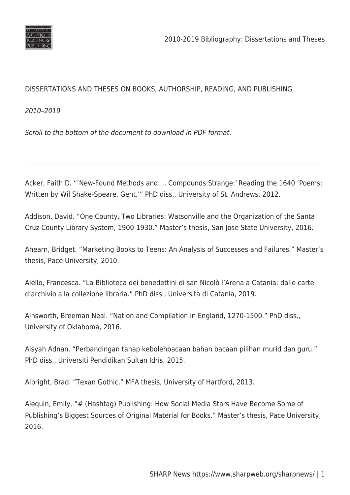

## DISSERTATIONS AND THESES ON BOOKS, AUTHORSHIP, READING, AND PUBLISHING

2010–2019

Scroll to the bottom of the document to download in PDF format.

Acker, Faith D. "'New-Found Methods and … Compounds Strange:' Reading the 1640 'Poems: Written by Wil Shake-Speare. Gent.'" PhD diss., University of St. Andrews, 2012.

Addison, David. "One County, Two Libraries: Watsonville and the Organization of the Santa Cruz County Library System, 1900-1930." Master's thesis, San Jose State University, 2016.

Ahearn, Bridget. "Marketing Books to Teens: An Analysis of Successes and Failures." Master's thesis, Pace University, 2010.

Aiello, Francesca. "La Biblioteca dei benedettini di san Nicolò l'Arena a Catania: dalle carte d'archivio alla collezione libraria." PhD diss., Università di Catania, 2019.

Ainsworth, Breeman Neal. "Nation and Compilation in England, 1270-1500." PhD diss., University of Oklahoma, 2016.

Aisyah Adnan. "Perbandingan tahap kebolehbacaan bahan bacaan pilihan murid dan guru." PhD diss,, Universiti Pendidikan Sultan Idris, 2015.

Albright, Brad. "Texan Gothic." MFA thesis, University of Hartford, 2013.

Alequin, Emily. "# (Hashtag) Publishing: How Social Media Stars Have Become Some of Publishing's Biggest Sources of Original Material for Books." Master's thesis, Pace University, 2016.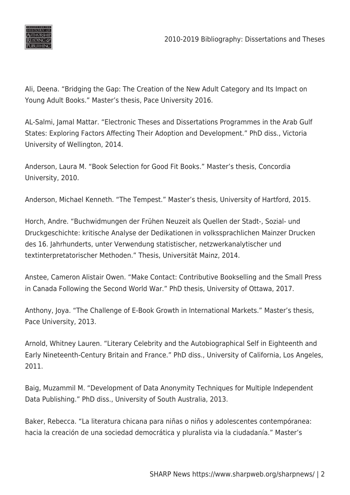

Ali, Deena. "Bridging the Gap: The Creation of the New Adult Category and Its Impact on Young Adult Books." Master's thesis, Pace University 2016.

AL-Salmi, Jamal Mattar. "Electronic Theses and Dissertations Programmes in the Arab Gulf States: Exploring Factors Affecting Their Adoption and Development." PhD diss., Victoria University of Wellington, 2014.

Anderson, Laura M. "Book Selection for Good Fit Books." Master's thesis, Concordia University, 2010.

Anderson, Michael Kenneth. "The Tempest." Master's thesis, University of Hartford, 2015.

Horch, Andre. "Buchwidmungen der Frühen Neuzeit als Quellen der Stadt-, Sozial- und Druckgeschichte: kritische Analyse der Dedikationen in volkssprachlichen Mainzer Drucken des 16. Jahrhunderts, unter Verwendung statistischer, netzwerkanalytischer und textinterpretatorischer Methoden." Thesis, Universität Mainz, 2014.

Anstee, Cameron Alistair Owen. "Make Contact: Contributive Bookselling and the Small Press in Canada Following the Second World War." PhD thesis, University of Ottawa, 2017.

Anthony, Joya. "The Challenge of E-Book Growth in International Markets." Master's thesis, Pace University, 2013.

Arnold, Whitney Lauren. "Literary Celebrity and the Autobiographical Self in Eighteenth and Early Nineteenth-Century Britain and France." PhD diss., University of California, Los Angeles, 2011.

Baig, Muzammil M. "Development of Data Anonymity Techniques for Multiple Independent Data Publishing." PhD diss., University of South Australia, 2013.

Baker, Rebecca. "La literatura chicana para niñas o niños y adolescentes contempóranea: hacia la creación de una sociedad democrática y pluralista via la ciudadanía." Master's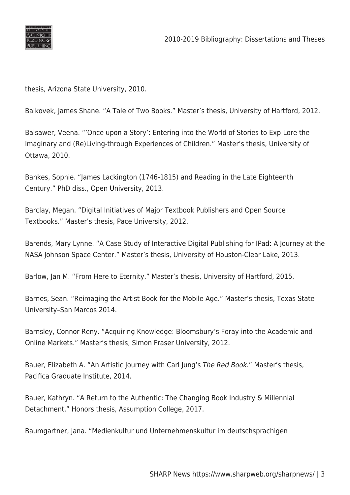

thesis, Arizona State University, 2010.

Balkovek, James Shane. "A Tale of Two Books." Master's thesis, University of Hartford, 2012.

Balsawer, Veena. "'Once upon a Story': Entering into the World of Stories to Exp-Lore the Imaginary and (Re)Living-through Experiences of Children." Master's thesis, University of Ottawa, 2010.

Bankes, Sophie. "James Lackington (1746-1815) and Reading in the Late Eighteenth Century." PhD diss., Open University, 2013.

Barclay, Megan. "Digital Initiatives of Major Textbook Publishers and Open Source Textbooks." Master's thesis, Pace University, 2012.

Barends, Mary Lynne. "A Case Study of Interactive Digital Publishing for IPad: A Journey at the NASA Johnson Space Center." Master's thesis, University of Houston-Clear Lake, 2013.

Barlow, Jan M. "From Here to Eternity." Master's thesis, University of Hartford, 2015.

Barnes, Sean. "Reimaging the Artist Book for the Mobile Age." Master's thesis, Texas State University–San Marcos 2014.

Barnsley, Connor Reny. "Acquiring Knowledge: Bloomsbury's Foray into the Academic and Online Markets." Master's thesis, Simon Fraser University, 2012.

Bauer, Elizabeth A. "An Artistic Journey with Carl Jung's The Red Book." Master's thesis, Pacifica Graduate Institute, 2014.

Bauer, Kathryn. "A Return to the Authentic: The Changing Book Industry & Millennial Detachment." Honors thesis, Assumption College, 2017.

Baumgartner, Jana. "Medienkultur und Unternehmenskultur im deutschsprachigen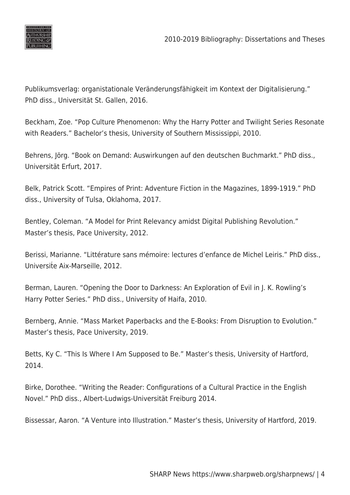

Publikumsverlag: organistationale Veränderungsfähigkeit im Kontext der Digitalisierung." PhD diss., Universität St. Gallen, 2016.

Beckham, Zoe. "Pop Culture Phenomenon: Why the Harry Potter and Twilight Series Resonate with Readers." Bachelor's thesis, University of Southern Mississippi, 2010.

Behrens, Jörg. "Book on Demand: Auswirkungen auf den deutschen Buchmarkt." PhD diss., Universität Erfurt, 2017.

Belk, Patrick Scott. "Empires of Print: Adventure Fiction in the Magazines, 1899-1919." PhD diss., University of Tulsa, Oklahoma, 2017.

Bentley, Coleman. "A Model for Print Relevancy amidst Digital Publishing Revolution." Master's thesis, Pace University, 2012.

Berissi, Marianne. "Littérature sans mémoire: lectures d'enfance de Michel Leiris." PhD diss., Universite Aix-Marseille, 2012.

Berman, Lauren. "Opening the Door to Darkness: An Exploration of Evil in J. K. Rowling's Harry Potter Series." PhD diss., University of Haifa, 2010.

Bernberg, Annie. "Mass Market Paperbacks and the E-Books: From Disruption to Evolution." Master's thesis, Pace University, 2019.

Betts, Ky C. "This Is Where I Am Supposed to Be." Master's thesis, University of Hartford, 2014.

Birke, Dorothee. "Writing the Reader: Configurations of a Cultural Practice in the English Novel." PhD diss., Albert-Ludwigs-Universität Freiburg 2014.

Bissessar, Aaron. "A Venture into Illustration." Master's thesis, University of Hartford, 2019.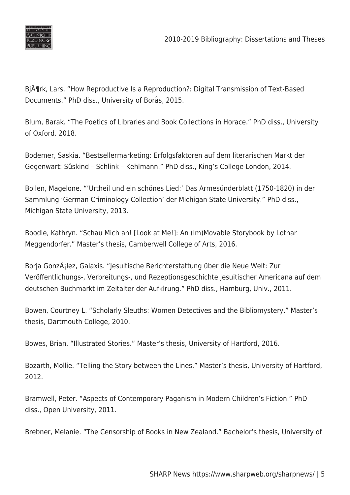

Bi $\tilde{A}$ ¶rk, Lars. "How Reproductive Is a Reproduction?: Digital Transmission of Text-Based Documents." PhD diss., University of Borås, 2015.

Blum, Barak. "The Poetics of Libraries and Book Collections in Horace." PhD diss., University of Oxford. 2018.

Bodemer, Saskia. "Bestsellermarketing: Erfolgsfaktoren auf dem literarischen Markt der Gegenwart: Sûskind – Schlink – Kehlmann." PhD diss., King's College London, 2014.

Bollen, Magelone. "'Urtheil und ein schönes Lied:' Das Armesünderblatt (1750-1820) in der Sammlung 'German Criminology Collection' der Michigan State University." PhD diss., Michigan State University, 2013.

Boodle, Kathryn. "Schau Mich an! [Look at Me!]: An (Im)Movable Storybook by Lothar Meggendorfer." Master's thesis, Camberwell College of Arts, 2016.

Borja González, Galaxis. "Jesuitische Berichterstattung über die Neue Welt: Zur Veröffentlichungs-, Verbreitungs-, und Rezeptionsgeschichte jesuitischer Americana auf dem deutschen Buchmarkt im Zeitalter der Aufklrung." PhD diss., Hamburg, Univ., 2011.

Bowen, Courtney L. "Scholarly Sleuths: Women Detectives and the Bibliomystery." Master's thesis, Dartmouth College, 2010.

Bowes, Brian. "Illustrated Stories." Master's thesis, University of Hartford, 2016.

Bozarth, Mollie. "Telling the Story between the Lines." Master's thesis, University of Hartford, 2012.

Bramwell, Peter. "Aspects of Contemporary Paganism in Modern Children's Fiction." PhD diss., Open University, 2011.

Brebner, Melanie. "The Censorship of Books in New Zealand." Bachelor's thesis, University of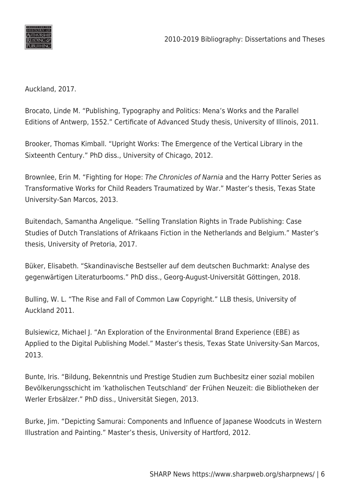

Auckland, 2017.

Brocato, Linde M. "Publishing, Typography and Politics: Mena's Works and the Parallel Editions of Antwerp, 1552." Certificate of Advanced Study thesis, University of Illinois, 2011.

Brooker, Thomas Kimball. "Upright Works: The Emergence of the Vertical Library in the Sixteenth Century." PhD diss., University of Chicago, 2012.

Brownlee, Erin M. "Fighting for Hope: The Chronicles of Narnia and the Harry Potter Series as Transformative Works for Child Readers Traumatized by War." Master's thesis, Texas State University-San Marcos, 2013.

Buitendach, Samantha Angelique. "Selling Translation Rights in Trade Publishing: Case Studies of Dutch Translations of Afrikaans Fiction in the Netherlands and Belgium." Master's thesis, University of Pretoria, 2017.

Büker, Elisabeth. "Skandinavische Bestseller auf dem deutschen Buchmarkt: Analyse des gegenwärtigen Literaturbooms." PhD diss., Georg-August-Universität Göttingen, 2018.

Bulling, W. L. "The Rise and Fall of Common Law Copyright." LLB thesis, University of Auckland 2011.

Bulsiewicz, Michael J. "An Exploration of the Environmental Brand Experience (EBE) as Applied to the Digital Publishing Model." Master's thesis, Texas State University-San Marcos, 2013.

Bunte, Iris. "Bildung, Bekenntnis und Prestige Studien zum Buchbesitz einer sozial mobilen Bevölkerungsschicht im 'katholischen Teutschland' der Frühen Neuzeit: die Bibliotheken der Werler Erbsälzer." PhD diss., Universität Siegen, 2013.

Burke, Jim. "Depicting Samurai: Components and Influence of Japanese Woodcuts in Western Illustration and Painting." Master's thesis, University of Hartford, 2012.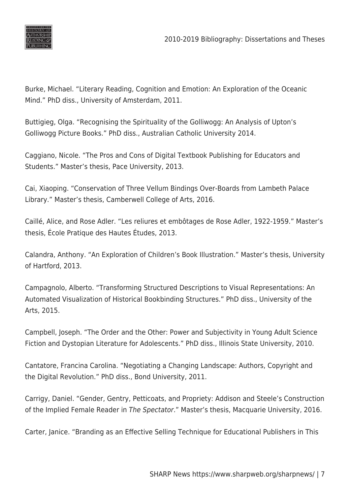

Burke, Michael. "Literary Reading, Cognition and Emotion: An Exploration of the Oceanic Mind." PhD diss., University of Amsterdam, 2011.

Buttigieg, Olga. "Recognising the Spirituality of the Golliwogg: An Analysis of Upton's Golliwogg Picture Books." PhD diss., Australian Catholic University 2014.

Caggiano, Nicole. "The Pros and Cons of Digital Textbook Publishing for Educators and Students." Master's thesis, Pace University, 2013.

Cai, Xiaoping. "Conservation of Three Vellum Bindings Over-Boards from Lambeth Palace Library." Master's thesis, Camberwell College of Arts, 2016.

Caillé, Alice, and Rose Adler. "Les reliures et embôtages de Rose Adler, 1922-1959." Master's thesis, École Pratique des Hautes Études, 2013.

Calandra, Anthony. "An Exploration of Children's Book Illustration." Master's thesis, University of Hartford, 2013.

Campagnolo, Alberto. "Transforming Structured Descriptions to Visual Representations: An Automated Visualization of Historical Bookbinding Structures." PhD diss., University of the Arts, 2015.

Campbell, Joseph. "The Order and the Other: Power and Subjectivity in Young Adult Science Fiction and Dystopian Literature for Adolescents." PhD diss., Illinois State University, 2010.

Cantatore, Francina Carolina. "Negotiating a Changing Landscape: Authors, Copyright and the Digital Revolution." PhD diss., Bond University, 2011.

Carrigy, Daniel. "Gender, Gentry, Petticoats, and Propriety: Addison and Steele's Construction of the Implied Female Reader in The Spectator." Master's thesis, Macquarie University, 2016.

Carter, Janice. "Branding as an Effective Selling Technique for Educational Publishers in This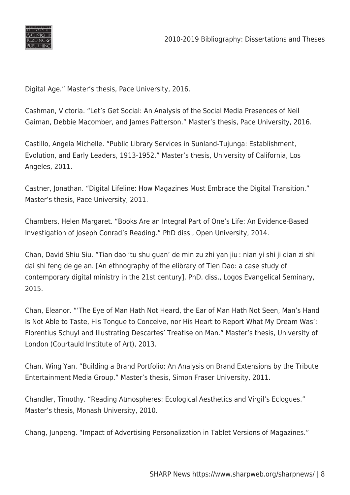

Digital Age." Master's thesis, Pace University, 2016.

Cashman, Victoria. "Let's Get Social: An Analysis of the Social Media Presences of Neil Gaiman, Debbie Macomber, and James Patterson." Master's thesis, Pace University, 2016.

Castillo, Angela Michelle. "Public Library Services in Sunland-Tujunga: Establishment, Evolution, and Early Leaders, 1913-1952." Master's thesis, University of California, Los Angeles, 2011.

Castner, Jonathan. "Digital Lifeline: How Magazines Must Embrace the Digital Transition." Master's thesis, Pace University, 2011.

Chambers, Helen Margaret. "Books Are an Integral Part of One's Life: An Evidence-Based Investigation of Joseph Conrad's Reading." PhD diss., Open University, 2014.

Chan, David Shiu Siu. "Tian dao 'tu shu guan' de min zu zhi yan jiu : nian yi shi ji dian zi shi dai shi feng de ge an. [An ethnography of the elibrary of Tien Dao: a case study of contemporary digital ministry in the 21st century]. PhD. diss., Logos Evangelical Seminary, 2015.

Chan, Eleanor. "'The Eye of Man Hath Not Heard, the Ear of Man Hath Not Seen, Man's Hand Is Not Able to Taste, His Tongue to Conceive, nor His Heart to Report What My Dream Was': Florentius Schuyl and Illustrating Descartes' Treatise on Man." Master's thesis, University of London (Courtauld Institute of Art), 2013.

Chan, Wing Yan. "Building a Brand Portfolio: An Analysis on Brand Extensions by the Tribute Entertainment Media Group." Master's thesis, Simon Fraser University, 2011.

Chandler, Timothy. "Reading Atmospheres: Ecological Aesthetics and Virgil's Eclogues." Master's thesis, Monash University, 2010.

Chang, Junpeng. "Impact of Advertising Personalization in Tablet Versions of Magazines."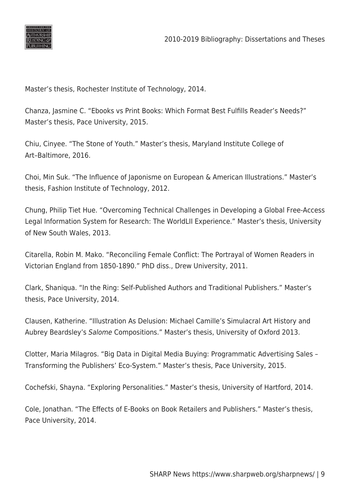

Master's thesis, Rochester Institute of Technology, 2014.

Chanza, Jasmine C. "Ebooks vs Print Books: Which Format Best Fulfills Reader's Needs?" Master's thesis, Pace University, 2015.

Chiu, Cinyee. "The Stone of Youth." Master's thesis, Maryland Institute College of Art–Baltimore, 2016.

Choi, Min Suk. "The Influence of Japonisme on European & American Illustrations." Master's thesis, Fashion Institute of Technology, 2012.

Chung, Philip Tiet Hue. "Overcoming Technical Challenges in Developing a Global Free-Access Legal Information System for Research: The WorldLII Experience." Master's thesis, University of New South Wales, 2013.

Citarella, Robin M. Mako. "Reconciling Female Conflict: The Portrayal of Women Readers in Victorian England from 1850-1890." PhD diss., Drew University, 2011.

Clark, Shaniqua. "In the Ring: Self-Published Authors and Traditional Publishers." Master's thesis, Pace University, 2014.

Clausen, Katherine. "Illustration As Delusion: Michael Camille's Simulacral Art History and Aubrey Beardsley's Salome Compositions." Master's thesis, University of Oxford 2013.

Clotter, Maria Milagros. "Big Data in Digital Media Buying: Programmatic Advertising Sales – Transforming the Publishers' Eco-System." Master's thesis, Pace University, 2015.

Cochefski, Shayna. "Exploring Personalities." Master's thesis, University of Hartford, 2014.

Cole, Jonathan. "The Effects of E-Books on Book Retailers and Publishers." Master's thesis, Pace University, 2014.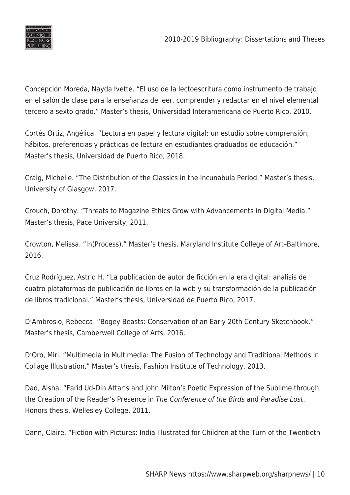

Concepción Moreda, Nayda Ivette. "El uso de la lectoescritura como instrumento de trabajo en el salón de clase para la enseñanza de leer, comprender y redactar en el nivel elemental tercero a sexto grado." Master's thesis, Universidad Interamericana de Puerto Rico, 2010.

Cortés Ortiz, Angélica. "Lectura en papel y lectura digital: un estudio sobre comprensión, hábitos, preferencias y prácticas de lectura en estudiantes graduados de educación." Master's thesis, Universidad de Puerto Rico, 2018.

Craig, Michelle. "The Distribution of the Classics in the Incunabula Period." Master's thesis, University of Glasgow, 2017.

Crouch, Dorothy. "Threats to Magazine Ethics Grow with Advancements in Digital Media." Master's thesis, Pace University, 2011.

Crowton, Melissa. "In(Process)." Master's thesis. Maryland Institute College of Art–Baltimore, 2016.

Cruz Rodríguez, Astrid H. "La publicación de autor de ficción en la era digital: análisis de cuatro plataformas de publicación de libros en la web y su transformación de la publicación de libros tradicional." Master's thesis, Universidad de Puerto Rico, 2017.

D'Ambrosio, Rebecca. "Bogey Beasts: Conservation of an Early 20th Century Sketchbook." Master's thesis, Camberwell College of Arts, 2016.

D'Oro, Miri. "Multimedia in Multimedia: The Fusion of Technology and Traditional Methods in Collage Illustration." Master's thesis, Fashion Institute of Technology, 2013.

Dad, Aisha. "Farid Ud-Din Attar's and John Milton's Poetic Expression of the Sublime through the Creation of the Reader's Presence in The Conference of the Birds and Paradise Lost. Honors thesis, Wellesley College, 2011.

Dann, Claire. "Fiction with Pictures: India Illustrated for Children at the Turn of the Twentieth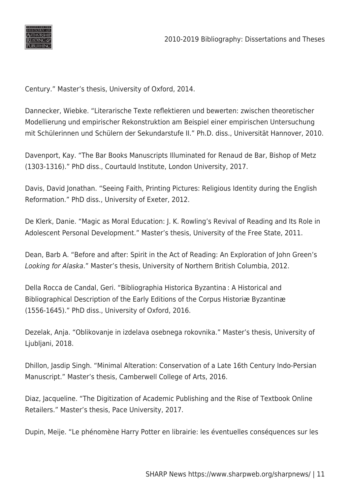

Century." Master's thesis, University of Oxford, 2014.

Dannecker, Wiebke. "Literarische Texte reflektieren und bewerten: zwischen theoretischer Modellierung und empirischer Rekonstruktion am Beispiel einer empirischen Untersuchung mit Schülerinnen und Schülern der Sekundarstufe II." Ph.D. diss., Universität Hannover, 2010.

Davenport, Kay. "The Bar Books Manuscripts Illuminated for Renaud de Bar, Bishop of Metz (1303-1316)." PhD diss., Courtauld Institute, London University, 2017.

Davis, David Jonathan. "Seeing Faith, Printing Pictures: Religious Identity during the English Reformation." PhD diss., University of Exeter, 2012.

De Klerk, Danie. "Magic as Moral Education: J. K. Rowling's Revival of Reading and Its Role in Adolescent Personal Development." Master's thesis, University of the Free State, 2011.

Dean, Barb A. "Before and after: Spirit in the Act of Reading: An Exploration of John Green's Looking for Alaska." Master's thesis, University of Northern British Columbia, 2012.

Della Rocca de Candal, Geri. "Bibliographia Historica Byzantina : A Historical and Bibliographical Description of the Early Editions of the Corpus Historiæ Byzantinæ (1556-1645)." PhD diss., University of Oxford, 2016.

Dezelak, Anja. "Oblikovanje in izdelava osebnega rokovnika." Master's thesis, University of Ljubljani, 2018.

Dhillon, Jasdip Singh. "Minimal Alteration: Conservation of a Late 16th Century Indo-Persian Manuscript." Master's thesis, Camberwell College of Arts, 2016.

Diaz, Jacqueline. "The Digitization of Academic Publishing and the Rise of Textbook Online Retailers." Master's thesis, Pace University, 2017.

Dupin, Meije. "Le phénomène Harry Potter en librairie: les éventuelles conséquences sur les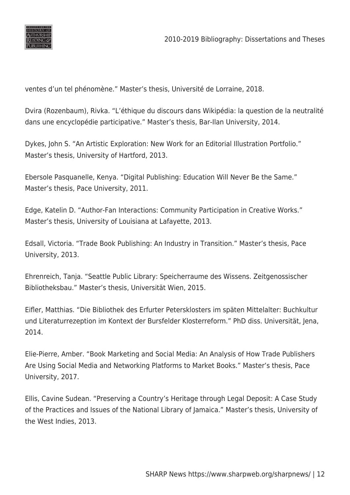

ventes d'un tel phénomène." Master's thesis, Université de Lorraine, 2018.

Dvira (Rozenbaum), Rivka. "L'éthique du discours dans Wikipédia: la question de la neutralité dans une encyclopédie participative." Master's thesis, Bar-Ilan University, 2014.

Dykes, John S. "An Artistic Exploration: New Work for an Editorial Illustration Portfolio." Master's thesis, University of Hartford, 2013.

Ebersole Pasquanelle, Kenya. "Digital Publishing: Education Will Never Be the Same." Master's thesis, Pace University, 2011.

Edge, Katelin D. "Author-Fan Interactions: Community Participation in Creative Works." Master's thesis, University of Louisiana at Lafayette, 2013.

Edsall, Victoria. "Trade Book Publishing: An Industry in Transition." Master's thesis, Pace University, 2013.

Ehrenreich, Tanja. "Seattle Public Library: Speicherraume des Wissens. Zeitgenossischer Bibliotheksbau." Master's thesis, Universität Wien, 2015.

Eifler, Matthias. "Die Bibliothek des Erfurter Petersklosters im späten Mittelalter: Buchkultur und Literaturrezeption im Kontext der Bursfelder Klosterreform." PhD diss. Universität, Jena, 2014.

Elie-Pierre, Amber. "Book Marketing and Social Media: An Analysis of How Trade Publishers Are Using Social Media and Networking Platforms to Market Books." Master's thesis, Pace University, 2017.

Ellis, Cavine Sudean. "Preserving a Country's Heritage through Legal Deposit: A Case Study of the Practices and Issues of the National Library of Jamaica." Master's thesis, University of the West Indies, 2013.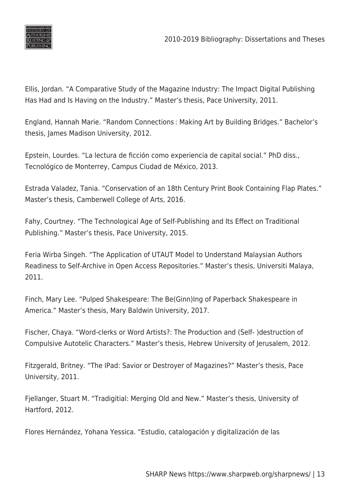

Ellis, Jordan. "A Comparative Study of the Magazine Industry: The Impact Digital Publishing Has Had and Is Having on the Industry." Master's thesis, Pace University, 2011.

England, Hannah Marie. "Random Connections : Making Art by Building Bridges." Bachelor's thesis, James Madison University, 2012.

Epstein, Lourdes. "La lectura de ficción como experiencia de capital social." PhD diss., Tecnológico de Monterrey, Campus Ciudad de México, 2013.

Estrada Valadez, Tania. "Conservation of an 18th Century Print Book Containing Flap Plates." Master's thesis, Camberwell College of Arts, 2016.

Fahy, Courtney. "The Technological Age of Self-Publishing and Its Effect on Traditional Publishing." Master's thesis, Pace University, 2015.

Feria Wirba Singeh. "The Application of UTAUT Model to Understand Malaysian Authors Readiness to Self-Archive in Open Access Repositories." Master's thesis, Universiti Malaya, 2011.

Finch, Mary Lee. "Pulped Shakespeare: The Be(Ginn)Ing of Paperback Shakespeare in America." Master's thesis, Mary Baldwin University, 2017.

Fischer, Chaya. "Word-clerks or Word Artists?: The Production and (Self- )destruction of Compulsive Autotelic Characters." Master's thesis, Hebrew University of Jerusalem, 2012.

Fitzgerald, Britney. "The IPad: Savior or Destroyer of Magazines?" Master's thesis, Pace University, 2011.

Fjellanger, Stuart M. "Tradigitial: Merging Old and New." Master's thesis, University of Hartford, 2012.

Flores Hernández, Yohana Yessica. "Estudio, catalogación y digitalización de las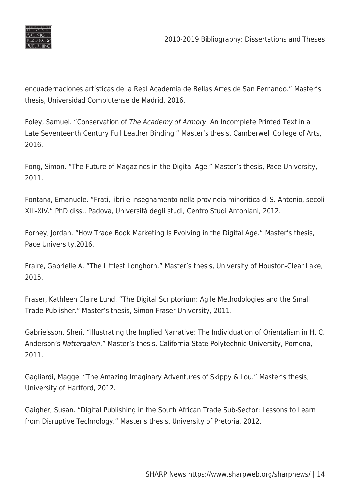

encuadernaciones artísticas de la Real Academia de Bellas Artes de San Fernando." Master's thesis, Universidad Complutense de Madrid, 2016.

Foley, Samuel. "Conservation of The Academy of Armory: An Incomplete Printed Text in a Late Seventeenth Century Full Leather Binding." Master's thesis, Camberwell College of Arts, 2016.

Fong, Simon. "The Future of Magazines in the Digital Age." Master's thesis, Pace University, 2011.

Fontana, Emanuele. "Frati, libri e insegnamento nella provincia minoritica di S. Antonio, secoli XIII-XIV." PhD diss., Padova, Università degli studi, Centro Studi Antoniani, 2012.

Forney, Jordan. "How Trade Book Marketing Is Evolving in the Digital Age." Master's thesis, Pace University,2016.

Fraire, Gabrielle A. "The Littlest Longhorn." Master's thesis, University of Houston-Clear Lake, 2015.

Fraser, Kathleen Claire Lund. "The Digital Scriptorium: Agile Methodologies and the Small Trade Publisher." Master's thesis, Simon Fraser University, 2011.

Gabrielsson, Sheri. "Illustrating the Implied Narrative: The Individuation of Orientalism in H. C. Anderson's Nattergalen." Master's thesis, California State Polytechnic University, Pomona, 2011.

Gagliardi, Magge. "The Amazing Imaginary Adventures of Skippy & Lou." Master's thesis, University of Hartford, 2012.

Gaigher, Susan. "Digital Publishing in the South African Trade Sub-Sector: Lessons to Learn from Disruptive Technology." Master's thesis, University of Pretoria, 2012.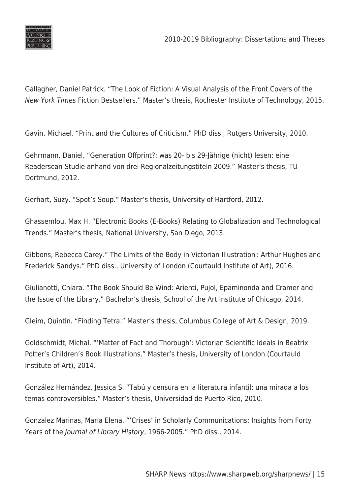

Gallagher, Daniel Patrick. "The Look of Fiction: A Visual Analysis of the Front Covers of the New York Times Fiction Bestsellers." Master's thesis, Rochester Institute of Technology, 2015.

Gavin, Michael. "Print and the Cultures of Criticism." PhD diss., Rutgers University, 2010.

Gehrmann, Daniel. "Generation Offprint?: was 20- bis 29-Jährige (nicht) lesen: eine Readerscan-Studie anhand von drei Regionalzeitungstiteln 2009." Master's thesis, TU Dortmund, 2012.

Gerhart, Suzy. "Spot's Soup." Master's thesis, University of Hartford, 2012.

Ghassemlou, Max H. "Electronic Books (E-Books) Relating to Globalization and Technological Trends." Master's thesis, National University, San Diego, 2013.

Gibbons, Rebecca Carey." The Limits of the Body in Victorian Illustration : Arthur Hughes and Frederick Sandys." PhD diss., University of London (Courtauld Institute of Art), 2016.

Giulianotti, Chiara. "The Book Should Be Wind: Arienti, Pujol, Epaminonda and Cramer and the Issue of the Library." Bachelor's thesis, School of the Art Institute of Chicago, 2014.

Gleim, Quintin. "Finding Tetra." Master's thesis, Columbus College of Art & Design, 2019.

Goldschmidt, Michal. "'Matter of Fact and Thorough': Victorian Scientific Ideals in Beatrix Potter's Children's Book Illustrations." Master's thesis, University of London (Courtauld Institute of Art), 2014.

González Hernández, Jessica S. "Tabú y censura en la literatura infantil: una mirada a los temas controversibles." Master's thesis, Universidad de Puerto Rico, 2010.

Gonzalez Marinas, Maria Elena. "'Crises' in Scholarly Communications: Insights from Forty Years of the Journal of Library History, 1966-2005." PhD diss., 2014.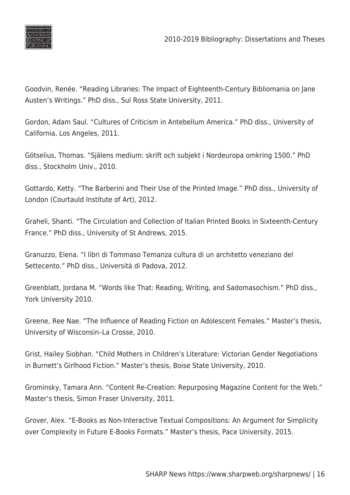

Goodvin, Renée. "Reading Libraries: The Impact of Eighteenth-Century Bibliomania on Jane Austen's Writings." PhD diss., Sul Ross State University, 2011.

Gordon, Adam Saul. "Cultures of Criticism in Antebellum America." PhD diss., University of California, Los Angeles, 2011.

Götselius, Thomas. "Själens medium: skrift och subjekt i Nordeuropa omkring 1500." PhD diss., Stockholm Univ., 2010.

Gottardo, Ketty. "The Barberini and Their Use of the Printed Image." PhD diss., University of London (Courtauld Institute of Art), 2012.

Graheli, Shanti. "The Circulation and Collection of Italian Printed Books in Sixteenth-Century France." PhD diss., University of St Andrews, 2015.

Granuzzo, Elena. "I libri di Tommaso Temanza cultura di un architetto veneziano del Settecento." PhD diss., Università di Padova, 2012.

Greenblatt, Jordana M. "Words like That: Reading, Writing, and Sadomasochism." PhD diss., York University 2010.

Greene, Ree Nae. "The Influence of Reading Fiction on Adolescent Females." Master's thesis, University of Wisconsin–La Crosse, 2010.

Grist, Hailey Siobhan. "Child Mothers in Children's Literature: Victorian Gender Negotiations in Burnett's Girlhood Fiction." Master's thesis, Boise State University, 2010.

Grominsky, Tamara Ann. "Content Re-Creation: Repurposing Magazine Content for the Web." Master's thesis, Simon Fraser University, 2011.

Grover, Alex. "E-Books as Non-Interactive Textual Compositions: An Argument for Simplicity over Complexity in Future E-Books Formats." Master's thesis, Pace University, 2015.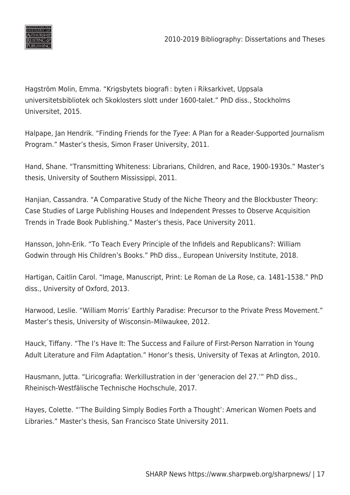

Hagström Molin, Emma. "Krigsbytets biografi : byten i Riksarkivet, Uppsala universitetsbibliotek och Skoklosters slott under 1600-talet." PhD diss., Stockholms Universitet, 2015.

Halpape, Jan Hendrik. "Finding Friends for the Tyee: A Plan for a Reader-Supported Journalism Program." Master's thesis, Simon Fraser University, 2011.

Hand, Shane. "Transmitting Whiteness: Librarians, Children, and Race, 1900-1930s." Master's thesis, University of Southern Mississippi, 2011.

Hanjian, Cassandra. "A Comparative Study of the Niche Theory and the Blockbuster Theory: Case Studies of Large Publishing Houses and Independent Presses to Observe Acquisition Trends in Trade Book Publishing." Master's thesis, Pace University 2011.

Hansson, John-Erik. "To Teach Every Principle of the Infidels and Republicans?: William Godwin through His Children's Books." PhD diss., European University Institute, 2018.

Hartigan, Caitlin Carol. "Image, Manuscript, Print: Le Roman de La Rose, ca. 1481-1538." PhD diss., University of Oxford, 2013.

Harwood, Leslie. "William Morris' Earthly Paradise: Precursor to the Private Press Movement." Master's thesis, University of Wisconsin–Milwaukee, 2012.

Hauck, Tiffany. "The I's Have It: The Success and Failure of First-Person Narration in Young Adult Literature and Film Adaptation." Honor's thesis, University of Texas at Arlington, 2010.

Hausmann, Jutta. "Liricografia: Werkillustration in der 'generacion del 27.'" PhD diss., Rheinisch-Westfälische Technische Hochschule, 2017.

Hayes, Colette. "'The Building Simply Bodies Forth a Thought': American Women Poets and Libraries." Master's thesis, San Francisco State University 2011.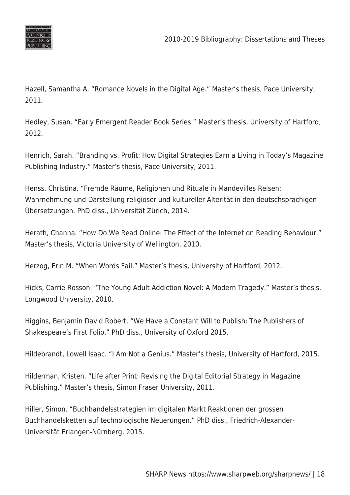

Hazell, Samantha A. "Romance Novels in the Digital Age." Master's thesis, Pace University, 2011.

Hedley, Susan. "Early Emergent Reader Book Series." Master's thesis, University of Hartford, 2012.

Henrich, Sarah. "Branding vs. Profit: How Digital Strategies Earn a Living in Today's Magazine Publishing Industry." Master's thesis, Pace University, 2011.

Henss, Christina. "Fremde Räume, Religionen und Rituale in Mandevilles Reisen: Wahrnehmung und Darstellung religiöser und kultureller Alterität in den deutschsprachigen Übersetzungen. PhD diss., Universität Zürich, 2014.

Herath, Channa. "How Do We Read Online: The Effect of the Internet on Reading Behaviour." Master's thesis, Victoria University of Wellington, 2010.

Herzog, Erin M. "When Words Fail." Master's thesis, University of Hartford, 2012.

Hicks, Carrie Rosson. "The Young Adult Addiction Novel: A Modern Tragedy." Master's thesis, Longwood University, 2010.

Higgins, Benjamin David Robert. "We Have a Constant Will to Publish: The Publishers of Shakespeare's First Folio." PhD diss., University of Oxford 2015.

Hildebrandt, Lowell Isaac. "I Am Not a Genius." Master's thesis, University of Hartford, 2015.

Hilderman, Kristen. "Life after Print: Revising the Digital Editorial Strategy in Magazine Publishing." Master's thesis, Simon Fraser University, 2011.

Hiller, Simon. "Buchhandelsstrategien im digitalen Markt Reaktionen der grossen Buchhandelsketten auf technologische Neuerungen." PhD diss., Friedrich-Alexander-Universität Erlangen-Nürnberg, 2015.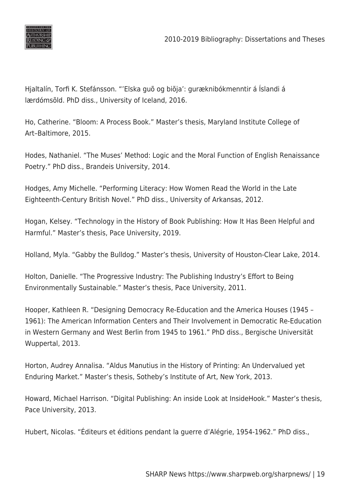

Hjaltalín, Torfi K. Stefánsson. "'Elska guõ og biõja': guræknibókmenntir á Íslandi á lærdómsõld. PhD diss., University of Iceland, 2016.

Ho, Catherine. "Bloom: A Process Book." Master's thesis, Maryland Institute College of Art–Baltimore, 2015.

Hodes, Nathaniel. "The Muses' Method: Logic and the Moral Function of English Renaissance Poetry." PhD diss., Brandeis University, 2014.

Hodges, Amy Michelle. "Performing Literacy: How Women Read the World in the Late Eighteenth-Century British Novel." PhD diss., University of Arkansas, 2012.

Hogan, Kelsey. "Technology in the History of Book Publishing: How It Has Been Helpful and Harmful." Master's thesis, Pace University, 2019.

Holland, Myla. "Gabby the Bulldog." Master's thesis, University of Houston-Clear Lake, 2014.

Holton, Danielle. "The Progressive Industry: The Publishing Industry's Effort to Being Environmentally Sustainable." Master's thesis, Pace University, 2011.

Hooper, Kathleen R. "Designing Democracy Re-Education and the America Houses (1945 – 1961): The American Information Centers and Their Involvement in Democratic Re-Education in Western Germany and West Berlin from 1945 to 1961." PhD diss., Bergische Universität Wuppertal, 2013.

Horton, Audrey Annalisa. "Aldus Manutius in the History of Printing: An Undervalued yet Enduring Market." Master's thesis, Sotheby's Institute of Art, New York, 2013.

Howard, Michael Harrison. "Digital Publishing: An inside Look at InsideHook." Master's thesis, Pace University, 2013.

Hubert, Nicolas. "Éditeurs et éditions pendant la guerre d'Alégrie, 1954-1962." PhD diss.,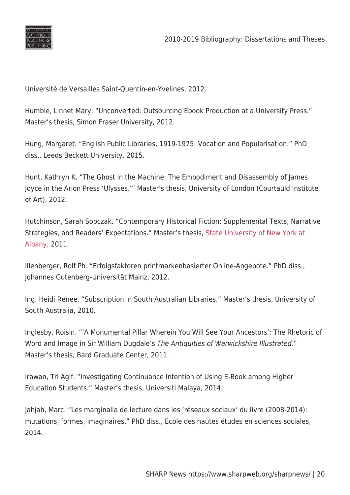

Université de Versailles Saint-Quentin-en-Yvelines, 2012.

Humble, Linnet Mary. "Unconverted: Outsourcing Ebook Production at a University Press." Master's thesis, Simon Fraser University, 2012.

Hung, Margaret. "English Public Libraries, 1919-1975: Vocation and Popularisation." PhD diss., Leeds Beckett University, 2015.

Hunt, Kathryn K. "The Ghost in the Machine: The Embodiment and Disassembly of James Joyce in the Arion Press 'Ulysses.'" Master's thesis, University of London (Courtauld Institute of Art), 2012.

Hutchinson, Sarah Sobczak. "Contemporary Historical Fiction: Supplemental Texts, Narrative Strategies, and Readers' Expectations." Master's thesis, [State University of New York at](https://www.worldcat.org/search?q=au%3AState+University+of+New+York+at+Albany.+Department+of+English.&qt=hot_author) [Albany,](https://www.worldcat.org/search?q=au%3AState+University+of+New+York+at+Albany.+Department+of+English.&qt=hot_author) 2011.

Illenberger, Rolf Ph. "Erfolgsfaktoren printmarkenbasierter Online-Angebote." PhD diss., Johannes Gutenberg-Universität Mainz, 2012.

Ing, Heidi Renee. "Subscription in South Australian Libraries." Master's thesis, University of South Australia, 2010.

Inglesby, Roisin. "'A Monumental Pillar Wherein You Will See Your Ancestors': The Rhetoric of Word and Image in Sir William Dugdale's The Antiquities of Warwickshire Illustrated." Master's thesis, Bard Graduate Center, 2011.

Irawan, Tri Agif. "Investigating Continuance Intention of Using E-Book among Higher Education Students." Master's thesis, Universiti Malaya, 2014.

Jahjah, Marc. "Les marginalia de lecture dans les 'réseaux sociaux' du livre (2008-2014): mutations, formes, imaginaires." PhD diss., École des hautes études en sciences sociales, 2014.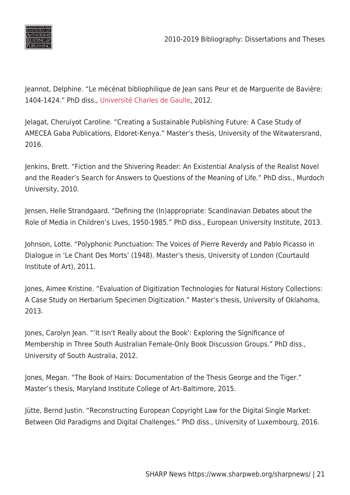

Jeannot, Delphine. "Le mécénat bibliophilique de Jean sans Peur et de Marguerite de Bavière: 1404-1424." PhD diss., [Université Charles de Gaulle,](https://www.worldcat.org/search?q=au%3AUniversite%CC%81+Charles+de+Gaulle+%28Lille+%2F+1971-2017%29.&qt=hot_author) 2012.

Jelagat, Cheruiyot Caroline. "Creating a Sustainable Publishing Future: A Case Study of AMECEA Gaba Publications, Eldoret-Kenya." Master's thesis, University of the Witwatersrand, 2016.

Jenkins, Brett. "Fiction and the Shivering Reader: An Existential Analysis of the Realist Novel and the Reader's Search for Answers to Questions of the Meaning of Life." PhD diss., Murdoch University, 2010.

Jensen, Helle Strandgaard. "Defining the (In)appropriate: Scandinavian Debates about the Role of Media in Children's Lives, 1950-1985." PhD diss., European University Institute, 2013.

Johnson, Lotte. "Polyphonic Punctuation: The Voices of Pierre Reverdy and Pablo Picasso in Dialogue in 'Le Chant Des Morts' (1948). Master's thesis, University of London (Courtauld Institute of Art), 2011.

Jones, Aimee Kristine. "Evaluation of Digitization Technologies for Natural History Collections: A Case Study on Herbarium Specimen Digitization." Master's thesis, University of Oklahoma, 2013.

Jones, Carolyn Jean. "'It Isn't Really about the Book': Exploring the Significance of Membership in Three South Australian Female-Only Book Discussion Groups." PhD diss., University of South Australia, 2012.

Jones, Megan. "The Book of Hairs: Documentation of the Thesis George and the Tiger." Master's thesis, Maryland Institute College of Art–Baltimore, 2015.

Jütte, Bernd Justin. "Reconstructing European Copyright Law for the Digital Single Market: Between Old Paradigms and Digital Challenges." PhD diss., University of Luxembourg, 2016.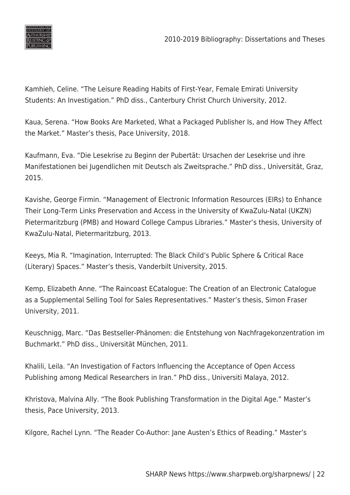

Kamhieh, Celine. "The Leisure Reading Habits of First-Year, Female Emirati University Students: An Investigation." PhD diss., Canterbury Christ Church University, 2012.

Kaua, Serena. "How Books Are Marketed, What a Packaged Publisher Is, and How They Affect the Market." Master's thesis, Pace University, 2018.

Kaufmann, Eva. "Die Lesekrise zu Beginn der Pubertät: Ursachen der Lesekrise und ihre Manifestationen bei Jugendlichen mit Deutsch als Zweitsprache." PhD diss., Universität, Graz, 2015.

Kavishe, George Firmin. "Management of Electronic Information Resources (EIRs) to Enhance Their Long-Term Links Preservation and Access in the University of KwaZulu-Natal (UKZN) Pietermaritzburg (PMB) and Howard College Campus Libraries." Master's thesis, University of KwaZulu-Natal, Pietermaritzburg, 2013.

Keeys, Mia R. "Imagination, Interrupted: The Black Child's Public Sphere & Critical Race (Literary) Spaces." Master's thesis, Vanderbilt University, 2015.

Kemp, Elizabeth Anne. "The Raincoast ECatalogue: The Creation of an Electronic Catalogue as a Supplemental Selling Tool for Sales Representatives." Master's thesis, Simon Fraser University, 2011.

Keuschnigg, Marc. "Das Bestseller-Phänomen: die Entstehung von Nachfragekonzentration im Buchmarkt." PhD diss., Universität München, 2011.

Khalili, Leila. "An Investigation of Factors Influencing the Acceptance of Open Access Publishing among Medical Researchers in Iran." PhD diss., Universiti Malaya, 2012.

Khristova, Malvina Ally. "The Book Publishing Transformation in the Digital Age." Master's thesis, Pace University, 2013.

Kilgore, Rachel Lynn. "The Reader Co-Author: Jane Austen's Ethics of Reading." Master's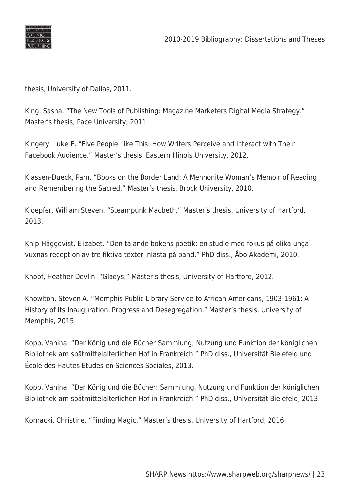

thesis, University of Dallas, 2011.

King, Sasha. "The New Tools of Publishing: Magazine Marketers Digital Media Strategy." Master's thesis, Pace University, 2011.

Kingery, Luke E. "Five People Like This: How Writers Perceive and Interact with Their Facebook Audience." Master's thesis, Eastern Illinois University, 2012.

Klassen-Dueck, Pam. "Books on the Border Land: A Mennonite Woman's Memoir of Reading and Remembering the Sacred." Master's thesis, Brock University, 2010.

Kloepfer, William Steven. "Steampunk Macbeth." Master's thesis, University of Hartford, 2013.

Knip-Häggqvist, Elizabet. "Den talande bokens poetik: en studie med fokus på olika unga vuxnas reception av tre fiktiva texter inlästa på band." PhD diss., Åbo Akademi, 2010.

Knopf, Heather Devlin. "Gladys." Master's thesis, University of Hartford, 2012.

Knowlton, Steven A. "Memphis Public Library Service to African Americans, 1903-1961: A History of Its Inauguration, Progress and Desegregation." Master's thesis, University of Memphis, 2015.

Kopp, Vanina. "Der König und die Bücher Sammlung, Nutzung und Funktion der königlichen Bibliothek am spätmittelalterlichen Hof in Frankreich." PhD diss., Universität Bielefeld und École des Hautes Études en Sciences Sociales, 2013.

Kopp, Vanina. "Der König und die Bücher: Sammlung, Nutzung und Funktion der königlichen Bibliothek am spätmittelalterlichen Hof in Frankreich." PhD diss., Universität Bielefeld, 2013.

Kornacki, Christine. "Finding Magic." Master's thesis, University of Hartford, 2016.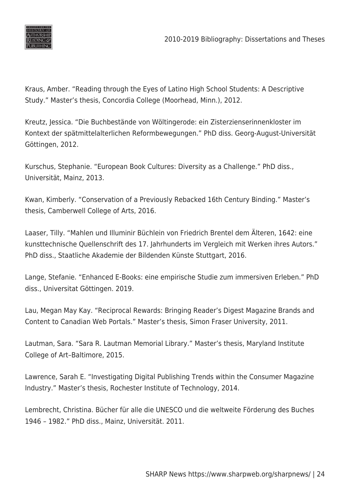

Kraus, Amber. "Reading through the Eyes of Latino High School Students: A Descriptive Study." Master's thesis, Concordia College (Moorhead, Minn.), 2012.

Kreutz, Jessica. "Die Buchbestände von Wöltingerode: ein Zisterzienserinnenkloster im Kontext der spätmittelalterlichen Reformbewegungen." PhD diss. Georg-August-Universität Göttingen, 2012.

Kurschus, Stephanie. "European Book Cultures: Diversity as a Challenge." PhD diss., Universität, Mainz, 2013.

Kwan, Kimberly. "Conservation of a Previously Rebacked 16th Century Binding." Master's thesis, Camberwell College of Arts, 2016.

Laaser, Tilly. "Mahlen und Illuminir Büchlein von Friedrich Brentel dem Älteren, 1642: eine kunsttechnische Quellenschrift des 17. Jahrhunderts im Vergleich mit Werken ihres Autors." PhD diss., Staatliche Akademie der Bildenden Künste Stuttgart, 2016.

Lange, Stefanie. "Enhanced E-Books: eine empirische Studie zum immersiven Erleben." PhD diss., Universitat Göttingen. 2019.

Lau, Megan May Kay. "Reciprocal Rewards: Bringing Reader's Digest Magazine Brands and Content to Canadian Web Portals." Master's thesis, Simon Fraser University, 2011.

Lautman, Sara. "Sara R. Lautman Memorial Library." Master's thesis, Maryland Institute College of Art–Baltimore, 2015.

Lawrence, Sarah E. "Investigating Digital Publishing Trends within the Consumer Magazine Industry." Master's thesis, Rochester Institute of Technology, 2014.

Lembrecht, Christina. Bücher für alle die UNESCO und die weltweite Förderung des Buches 1946 – 1982." PhD diss., Mainz, Universität. 2011.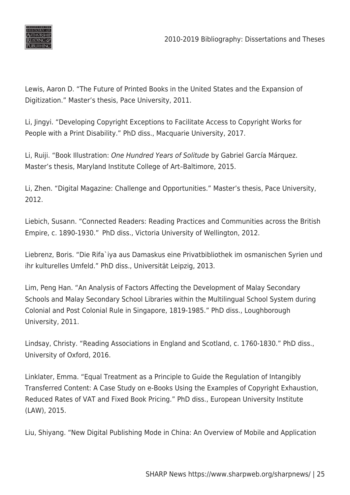

Lewis, Aaron D. "The Future of Printed Books in the United States and the Expansion of Digitization." Master's thesis, Pace University, 2011.

Li, Jingyi. "Developing Copyright Exceptions to Facilitate Access to Copyright Works for People with a Print Disability." PhD diss., Macquarie University, 2017.

Li, Ruiji. "Book Illustration: One Hundred Years of Solitude by Gabriel García Márquez. Master's thesis, Maryland Institute College of Art–Baltimore, 2015.

Li, Zhen. "Digital Magazine: Challenge and Opportunities." Master's thesis, Pace University, 2012.

Liebich, Susann. "Connected Readers: Reading Practices and Communities across the British Empire, c. 1890-1930."  PhD diss., Victoria University of Wellington, 2012.

Liebrenz, Boris. "Die Rifa`iya aus Damaskus eine Privatbibliothek im osmanischen Syrien und ihr kulturelles Umfeld." PhD diss., Universität Leipzig, 2013.

Lim, Peng Han. "An Analysis of Factors Affecting the Development of Malay Secondary Schools and Malay Secondary School Libraries within the Multilingual School System during Colonial and Post Colonial Rule in Singapore, 1819-1985." PhD diss., Loughborough University, 2011.

Lindsay, Christy. "Reading Associations in England and Scotland, c. 1760-1830." PhD diss., University of Oxford, 2016.

Linklater, Emma. "Equal Treatment as a Principle to Guide the Regulation of Intangibly Transferred Content: A Case Study on e-Books Using the Examples of Copyright Exhaustion, Reduced Rates of VAT and Fixed Book Pricing." PhD diss., European University Institute (LAW), 2015.

Liu, Shiyang. "New Digital Publishing Mode in China: An Overview of Mobile and Application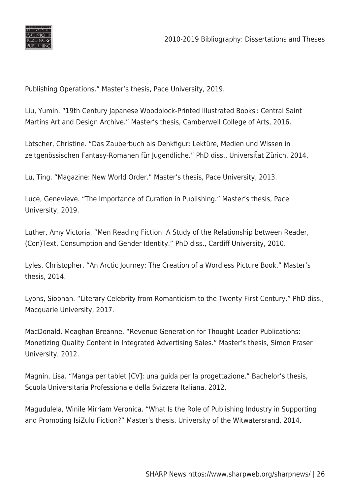

Publishing Operations." Master's thesis, Pace University, 2019.

Liu, Yumin. "19th Century Japanese Woodblock-Printed Illustrated Books : Central Saint Martins Art and Design Archive." Master's thesis, Camberwell College of Arts, 2016.

Lötscher, Christine. "Das Zauberbuch als Denkfigur: Lektüre, Medien und Wissen in zeitgenössischen Fantasy-Romanen für Jugendliche." PhD diss., Universität Zürich, 2014.

Lu, Ting. "Magazine: New World Order." Master's thesis, Pace University, 2013.

Luce, Genevieve. "The Importance of Curation in Publishing." Master's thesis, Pace University, 2019.

Luther, Amy Victoria. "Men Reading Fiction: A Study of the Relationship between Reader, (Con)Text, Consumption and Gender Identity." PhD diss., Cardiff University, 2010.

Lyles, Christopher. "An Arctic Journey: The Creation of a Wordless Picture Book." Master's thesis, 2014.

Lyons, Siobhan. "Literary Celebrity from Romanticism to the Twenty-First Century." PhD diss., Macquarie University, 2017.

MacDonald, Meaghan Breanne. "Revenue Generation for Thought-Leader Publications: Monetizing Quality Content in Integrated Advertising Sales." Master's thesis, Simon Fraser University, 2012.

Magnin, Lisa. "Manga per tablet [CV]: una guida per la progettazione." Bachelor's thesis, Scuola Universitaria Professionale della Svizzera Italiana, 2012.

Magudulela, Winile Mirriam Veronica. "What Is the Role of Publishing Industry in Supporting and Promoting IsiZulu Fiction?" Master's thesis, University of the Witwatersrand, 2014.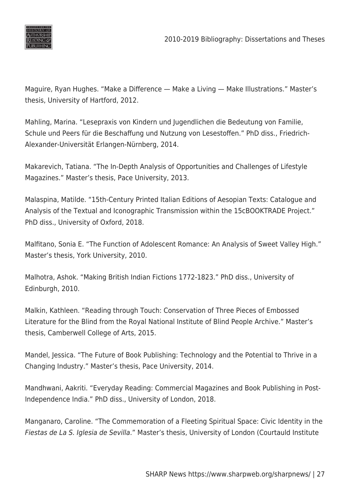

Maguire, Ryan Hughes. "Make a Difference — Make a Living — Make Illustrations." Master's thesis, University of Hartford, 2012.

Mahling, Marina. "Lesepraxis von Kindern und Jugendlichen die Bedeutung von Familie, Schule und Peers für die Beschaffung und Nutzung von Lesestoffen." PhD diss., Friedrich-Alexander-Universität Erlangen-Nürnberg, 2014.

Makarevich, Tatiana. "The In-Depth Analysis of Opportunities and Challenges of Lifestyle Magazines." Master's thesis, Pace University, 2013.

Malaspina, Matilde. "15th-Century Printed Italian Editions of Aesopian Texts: Catalogue and Analysis of the Textual and Iconographic Transmission within the 15cBOOKTRADE Project." PhD diss., University of Oxford, 2018.

Malfitano, Sonia E. "The Function of Adolescent Romance: An Analysis of Sweet Valley High." Master's thesis, York University, 2010.

Malhotra, Ashok. "Making British Indian Fictions 1772-1823." PhD diss., University of Edinburgh, 2010.

Malkin, Kathleen. "Reading through Touch: Conservation of Three Pieces of Embossed Literature for the Blind from the Royal National Institute of Blind People Archive." Master's thesis, Camberwell College of Arts, 2015.

Mandel, Jessica. "The Future of Book Publishing: Technology and the Potential to Thrive in a Changing Industry." Master's thesis, Pace University, 2014.

Mandhwani, Aakriti. "Everyday Reading: Commercial Magazines and Book Publishing in Post-Independence India." PhD diss., University of London, 2018.

Manganaro, Caroline. "The Commemoration of a Fleeting Spiritual Space: Civic Identity in the Fiestas de La S. Iglesia de Sevilla." Master's thesis, University of London (Courtauld Institute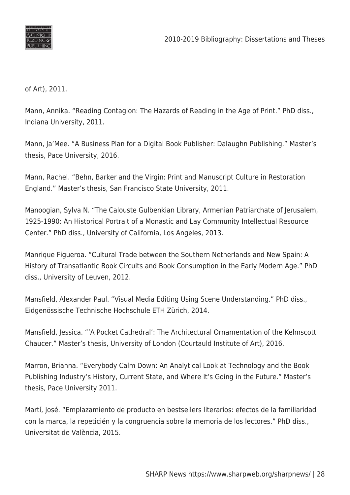

of Art), 2011.

Mann, Annika. "Reading Contagion: The Hazards of Reading in the Age of Print." PhD diss., Indiana University, 2011.

Mann, Ja'Mee. "A Business Plan for a Digital Book Publisher: Dalaughn Publishing." Master's thesis, Pace University, 2016.

Mann, Rachel. "Behn, Barker and the Virgin: Print and Manuscript Culture in Restoration England." Master's thesis, San Francisco State University, 2011.

Manoogian, Sylva N. "The Calouste Gulbenkian Library, Armenian Patriarchate of Jerusalem, 1925-1990: An Historical Portrait of a Monastic and Lay Community Intellectual Resource Center." PhD diss., University of California, Los Angeles, 2013.

Manrique Figueroa. "Cultural Trade between the Southern Netherlands and New Spain: A History of Transatlantic Book Circuits and Book Consumption in the Early Modern Age." PhD diss., University of Leuven, 2012.

Mansfield, Alexander Paul. "Visual Media Editing Using Scene Understanding." PhD diss., Eidgenössische Technische Hochschule ETH Zürich, 2014.

Mansfield, Jessica. "'A Pocket Cathedral': The Architectural Ornamentation of the Kelmscott Chaucer." Master's thesis, University of London (Courtauld Institute of Art), 2016.

Marron, Brianna. "Everybody Calm Down: An Analytical Look at Technology and the Book Publishing Industry's History, Current State, and Where It's Going in the Future." Master's thesis, Pace University 2011.

Martí, José. "Emplazamiento de producto en bestsellers literarios: efectos de la familiaridad con la marca, la repeticién y la congruencia sobre la memoria de los lectores." PhD diss., Universitat de València, 2015.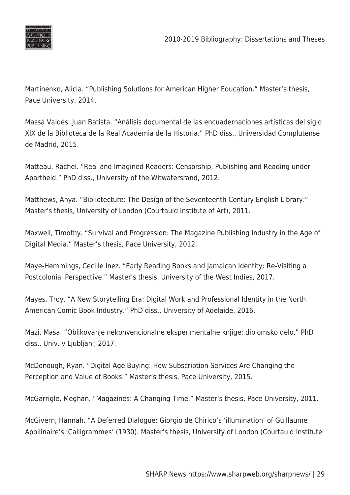

Martinenko, Alicia. "Publishing Solutions for American Higher Education." Master's thesis, Pace University, 2014.

Massá Valdés, Juan Batista. "Análisis documental de las encuadernaciones artísticas del siglo XIX de la Biblioteca de la Real Academia de la Historia." PhD diss., Universidad Complutense de Madrid, 2015.

Matteau, Rachel. "Real and Imagined Readers: Censorship, Publishing and Reading under Apartheid." PhD diss., University of the Witwatersrand, 2012.

Matthews, Anya. "Bibliotecture: The Design of the Seventeenth Century English Library." Master's thesis, University of London (Courtauld Institute of Art), 2011.

Maxwell, Timothy. "Survival and Progression: The Magazine Publishing Industry in the Age of Digital Media." Master's thesis, Pace University, 2012.

Maye-Hemmings, Cecille Inez. "Early Reading Books and Jamaican Identity: Re-Visiting a Postcolonial Perspective." Master's thesis, University of the West Indies, 2017.

Mayes, Troy. "A New Storytelling Era: Digital Work and Professional Identity in the North American Comic Book Industry." PhD diss., University of Adelaide, 2016.

Mazi, Maša. "Oblikovanje nekonvencionalne eksperimentalne knjige: diplomsko delo." PhD diss., Univ. v Ljubljani, 2017.

McDonough, Ryan. "Digital Age Buying: How Subscription Services Are Changing the Perception and Value of Books." Master's thesis, Pace University, 2015.

McGarrigle, Meghan. "Magazines: A Changing Time." Master's thesis, Pace University, 2011.

McGivern, Hannah. "A Deferred Dialogue: Giorgio de Chirico's 'illumination' of Guillaume Apollinaire's 'Calligrammes' (1930). Master's thesis, University of London (Courtauld Institute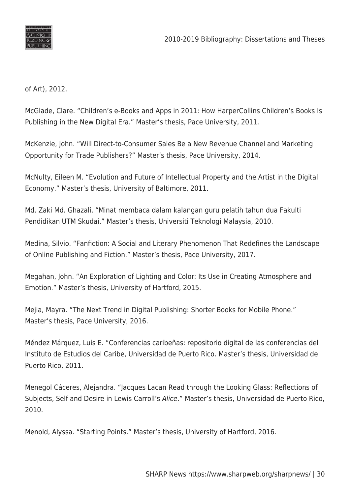

of Art), 2012.

McGlade, Clare. "Children's e-Books and Apps in 2011: How HarperCollins Children's Books Is Publishing in the New Digital Era." Master's thesis, Pace University, 2011.

McKenzie, John. "Will Direct-to-Consumer Sales Be a New Revenue Channel and Marketing Opportunity for Trade Publishers?" Master's thesis, Pace University, 2014.

McNulty, Eileen M. "Evolution and Future of Intellectual Property and the Artist in the Digital Economy." Master's thesis, University of Baltimore, 2011.

Md. Zaki Md. Ghazali. "Minat membaca dalam kalangan guru pelatih tahun dua Fakulti Pendidikan UTM Skudai." Master's thesis, Universiti Teknologi Malaysia, 2010.

Medina, Silvio. "Fanfiction: A Social and Literary Phenomenon That Redefines the Landscape of Online Publishing and Fiction." Master's thesis, Pace University, 2017.

Megahan, John. "An Exploration of Lighting and Color: Its Use in Creating Atmosphere and Emotion." Master's thesis, University of Hartford, 2015.

Mejia, Mayra. "The Next Trend in Digital Publishing: Shorter Books for Mobile Phone." Master's thesis, Pace University, 2016.

Méndez Márquez, Luis E. "Conferencias caribeñas: repositorio digital de las conferencias del Instituto de Estudios del Caribe, Universidad de Puerto Rico. Master's thesis, Universidad de Puerto Rico, 2011.

Menegol Cáceres, Alejandra. "Jacques Lacan Read through the Looking Glass: Reflections of Subjects, Self and Desire in Lewis Carroll's Alice." Master's thesis, Universidad de Puerto Rico, 2010.

Menold, Alyssa. "Starting Points." Master's thesis, University of Hartford, 2016.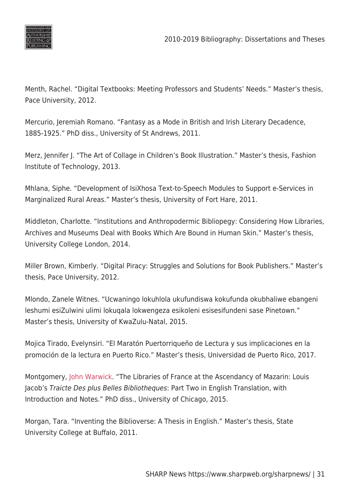

Menth, Rachel. "Digital Textbooks: Meeting Professors and Students' Needs." Master's thesis, Pace University, 2012.

Mercurio, Jeremiah Romano. "Fantasy as a Mode in British and Irish Literary Decadence, 1885-1925." PhD diss., University of St Andrews, 2011.

Merz, Jennifer J. "The Art of Collage in Children's Book Illustration." Master's thesis, Fashion Institute of Technology, 2013.

Mhlana, Siphe. "Development of IsiXhosa Text-to-Speech Modules to Support e-Services in Marginalized Rural Areas." Master's thesis, University of Fort Hare, 2011.

Middleton, Charlotte. "Institutions and Anthropodermic Bibliopegy: Considering How Libraries, Archives and Museums Deal with Books Which Are Bound in Human Skin." Master's thesis, University College London, 2014.

Miller Brown, Kimberly. "Digital Piracy: Struggles and Solutions for Book Publishers." Master's thesis, Pace University, 2012.

Mlondo, Zanele Witnes. "Ucwaningo lokuhlola ukufundiswa kokufunda okubhaliwe ebangeni leshumi esiZulwini ulimi lokuqala lokwengeza esikoleni esisesifundeni sase Pinetown." Master's thesis, University of KwaZulu-Natal, 2015.

Mojica Tirado, Evelynsiri. "El Maratón Puertorriqueño de Lectura y sus implicaciones en la promoción de la lectura en Puerto Rico." Master's thesis, Universidad de Puerto Rico, 2017.

Montgomery, [John Warwick](https://www.worldcat.org/search?q=au%3AMontgomery%2C+John+Warwick%2C&qt=hot_author). "The Libraries of France at the Ascendancy of Mazarin: Louis Jacob's Traicte Des plus Belles Bibliotheques: Part Two in English Translation, with Introduction and Notes." PhD diss., University of Chicago, 2015.

Morgan, Tara. "Inventing the Biblioverse: A Thesis in English." Master's thesis, State University College at Buffalo, 2011.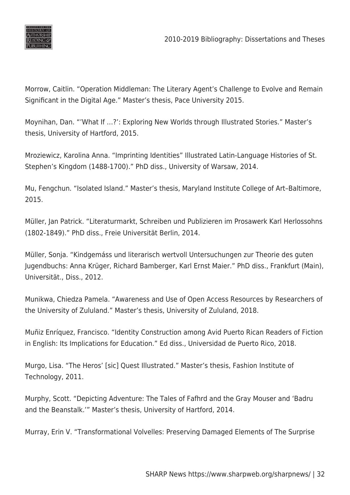

Morrow, Caitlin. "Operation Middleman: The Literary Agent's Challenge to Evolve and Remain Significant in the Digital Age." Master's thesis, Pace University 2015.

Moynihan, Dan. "'What If …?': Exploring New Worlds through Illustrated Stories." Master's thesis, University of Hartford, 2015.

Mroziewicz, Karolina Anna. "Imprinting Identities" Illustrated Latin-Language Histories of St. Stephen's Kingdom (1488-1700)." PhD diss., University of Warsaw, 2014.

Mu, Fengchun. "Isolated Island." Master's thesis, Maryland Institute College of Art–Baltimore, 2015.

Müller, Jan Patrick. "Literaturmarkt, Schreiben und Publizieren im Prosawerk Karl Herlossohns (1802-1849)." PhD diss., Freie Universität Berlin, 2014.

Müller, Sonja. "Kindgemáss und literarisch wertvoll Untersuchungen zur Theorie des guten Jugendbuchs: Anna Krüger, Richard Bamberger, Karl Ernst Maier." PhD diss., Frankfurt (Main), Universität., Diss., 2012.

Munikwa, Chiedza Pamela. "Awareness and Use of Open Access Resources by Researchers of the University of Zululand." Master's thesis, University of Zululand, 2018.

Muñiz Enríquez, Francisco. "Identity Construction among Avid Puerto Rican Readers of Fiction in English: Its Implications for Education." Ed diss., Universidad de Puerto Rico, 2018.

Murgo, Lisa. "The Heros' [sic] Quest Illustrated." Master's thesis, Fashion Institute of Technology, 2011.

Murphy, Scott. "Depicting Adventure: The Tales of Fafhrd and the Gray Mouser and 'Badru and the Beanstalk.'" Master's thesis, University of Hartford, 2014.

Murray, Erin V. "Transformational Volvelles: Preserving Damaged Elements of The Surprise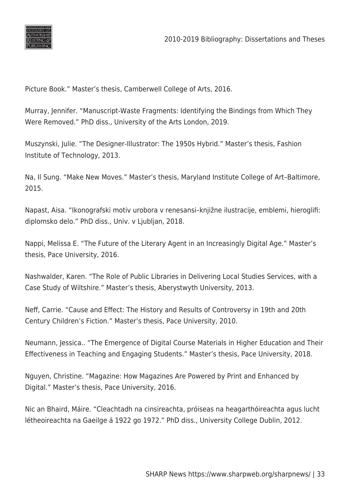

Picture Book." Master's thesis, Camberwell College of Arts, 2016.

Murray, Jennifer. "Manuscript-Waste Fragments: Identifying the Bindings from Which They Were Removed." PhD diss., University of the Arts London, 2019.

Muszynski, Julie. "The Designer-Illustrator: The 1950s Hybrid." Master's thesis, Fashion Institute of Technology, 2013.

Na, Il Sung. "Make New Moves." Master's thesis, Maryland Institute College of Art–Baltimore, 2015.

Napast, Aisa. "Ikonografski motiv urobora v renesansi–knjižne ilustracije, emblemi, hieroglifi: diplomsko delo." PhD diss., Univ. v Ljubljan, 2018.

Nappi, Melissa E. "The Future of the Literary Agent in an Increasingly Digital Age." Master's thesis, Pace University, 2016.

Nashwalder, Karen. "The Role of Public Libraries in Delivering Local Studies Services, with a Case Study of Wiltshire." Master's thesis, Aberystwyth University, 2013.

Neff, Carrie. "Cause and Effect: The History and Results of Controversy in 19th and 20th Century Children's Fiction." Master's thesis, Pace University, 2010.

Neumann, Jessica.. "The Emergence of Digital Course Materials in Higher Education and Their Effectiveness in Teaching and Engaging Students." Master's thesis, Pace University, 2018.

Nguyen, Christine. "Magazine: How Magazines Are Powered by Print and Enhanced by Digital." Master's thesis, Pace University, 2016.

Nic an Bhaird, Máire. "Cleachtadh na cinsireachta, próiseas na heagarthóireachta agus lucht létheoireachta na Gaeilge á 1922 go 1972." PhD diss., University College Dublin, 2012.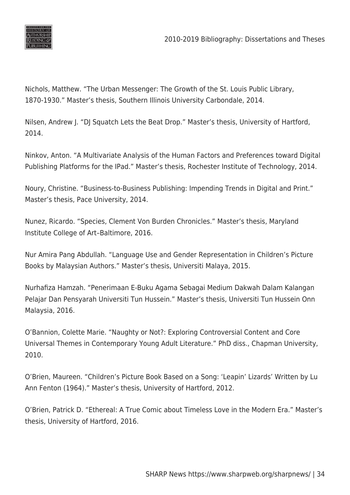

Nichols, Matthew. "The Urban Messenger: The Growth of the St. Louis Public Library, 1870-1930." Master's thesis, Southern Illinois University Carbondale, 2014.

Nilsen, Andrew J. "DJ Squatch Lets the Beat Drop." Master's thesis, University of Hartford, 2014.

Ninkov, Anton. "A Multivariate Analysis of the Human Factors and Preferences toward Digital Publishing Platforms for the IPad." Master's thesis, Rochester Institute of Technology, 2014.

Noury, Christine. "Business-to-Business Publishing: Impending Trends in Digital and Print." Master's thesis, Pace University, 2014.

Nunez, Ricardo. "Species, Clement Von Burden Chronicles." Master's thesis, Maryland Institute College of Art–Baltimore, 2016.

Nur Amira Pang Abdullah. "Language Use and Gender Representation in Children's Picture Books by Malaysian Authors." Master's thesis, Universiti Malaya, 2015.

Nurhafiza Hamzah. "Penerimaan E-Buku Agama Sebagai Medium Dakwah Dalam Kalangan Pelajar Dan Pensyarah Universiti Tun Hussein." Master's thesis, Universiti Tun Hussein Onn Malaysia, 2016.

O'Bannion, Colette Marie. "Naughty or Not?: Exploring Controversial Content and Core Universal Themes in Contemporary Young Adult Literature." PhD diss., Chapman University, 2010.

O'Brien, Maureen. "Children's Picture Book Based on a Song: 'Leapin' Lizards' Written by Lu Ann Fenton (1964)." Master's thesis, University of Hartford, 2012.

O'Brien, Patrick D. "Ethereal: A True Comic about Timeless Love in the Modern Era." Master's thesis, University of Hartford, 2016.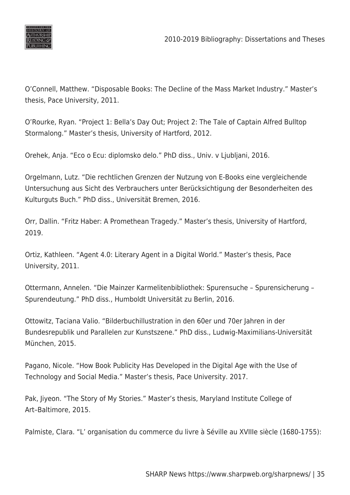

O'Connell, Matthew. "Disposable Books: The Decline of the Mass Market Industry." Master's thesis, Pace University, 2011.

O'Rourke, Ryan. "Project 1: Bella's Day Out; Project 2: The Tale of Captain Alfred Bulltop Stormalong." Master's thesis, University of Hartford, 2012.

Orehek, Anja. "Eco o Ecu: diplomsko delo." PhD diss., Univ. v Ljubljani, 2016.

Orgelmann, Lutz. "Die rechtlichen Grenzen der Nutzung von E-Books eine vergleichende Untersuchung aus Sicht des Verbrauchers unter Berücksichtigung der Besonderheiten des Kulturguts Buch." PhD diss., Universität Bremen, 2016.

Orr, Dallin. "Fritz Haber: A Promethean Tragedy." Master's thesis, University of Hartford, 2019.

Ortiz, Kathleen. "Agent 4.0: Literary Agent in a Digital World." Master's thesis, Pace University, 2011.

Ottermann, Annelen. "Die Mainzer Karmelitenbibliothek: Spurensuche – Spurensicherung – Spurendeutung." PhD diss., Humboldt Universität zu Berlin, 2016.

Ottowitz, Taciana Valio. "Bilderbuchillustration in den 60er und 70er Jahren in der Bundesrepublik und Parallelen zur Kunstszene." PhD diss., Ludwig-Maximilians-Universität München, 2015.

Pagano, Nicole. "How Book Publicity Has Developed in the Digital Age with the Use of Technology and Social Media." Master's thesis, Pace University. 2017.

Pak, Jiyeon. "The Story of My Stories." Master's thesis, Maryland Institute College of Art–Baltimore, 2015.

Palmiste, Clara. "L' organisation du commerce du livre à Séville au XVIIIe siècle (1680-1755):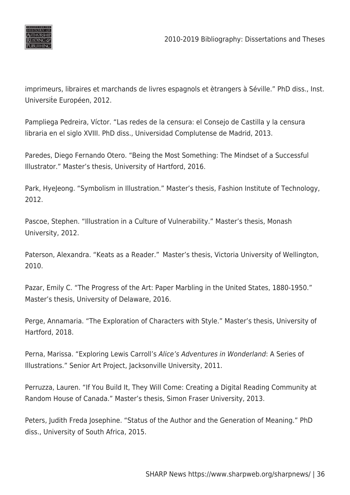

imprimeurs, libraires et marchands de livres espagnols et ètrangers à Séville." PhD diss., Inst. Universite Européen, 2012.

Pampliega Pedreira, Víctor. "Las redes de la censura: el Consejo de Castilla y la censura libraria en el siglo XVIII. PhD diss., Universidad Complutense de Madrid, 2013.

Paredes, Diego Fernando Otero. "Being the Most Something: The Mindset of a Successful Illustrator." Master's thesis, University of Hartford, 2016.

Park, HyeJeong. "Symbolism in Illustration." Master's thesis, Fashion Institute of Technology, 2012.

Pascoe, Stephen. "Illustration in a Culture of Vulnerability." Master's thesis, Monash University, 2012.

Paterson, Alexandra. "Keats as a Reader."  Master's thesis, Victoria University of Wellington, 2010.

Pazar, Emily C. "The Progress of the Art: Paper Marbling in the United States, 1880-1950." Master's thesis, University of Delaware, 2016.

Perge, Annamaria. "The Exploration of Characters with Style." Master's thesis, University of Hartford, 2018.

Perna, Marissa. "Exploring Lewis Carroll's Alice's Adventures in Wonderland: A Series of Illustrations." Senior Art Project, Jacksonville University, 2011.

Perruzza, Lauren. "If You Build It, They Will Come: Creating a Digital Reading Community at Random House of Canada." Master's thesis, Simon Fraser University, 2013.

Peters, Judith Freda Josephine. "Status of the Author and the Generation of Meaning." PhD diss., University of South Africa, 2015.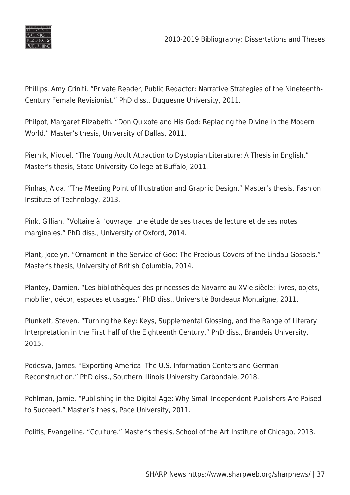

Phillips, Amy Criniti. "Private Reader, Public Redactor: Narrative Strategies of the Nineteenth-Century Female Revisionist." PhD diss., Duquesne University, 2011.

Philpot, Margaret Elizabeth. "Don Quixote and His God: Replacing the Divine in the Modern World." Master's thesis, University of Dallas, 2011.

Piernik, Miquel. "The Young Adult Attraction to Dystopian Literature: A Thesis in English." Master's thesis, State University College at Buffalo, 2011.

Pinhas, Aida. "The Meeting Point of Illustration and Graphic Design." Master's thesis, Fashion Institute of Technology, 2013.

Pink, Gillian. "Voltaire à l'ouvrage: une étude de ses traces de lecture et de ses notes marginales." PhD diss., University of Oxford, 2014.

Plant, Jocelyn. "Ornament in the Service of God: The Precious Covers of the Lindau Gospels." Master's thesis, University of British Columbia, 2014.

Plantey, Damien. "Les bibliothèques des princesses de Navarre au XVIe siècle: livres, objets, mobilier, décor, espaces et usages." PhD diss., Université Bordeaux Montaigne, 2011.

Plunkett, Steven. "Turning the Key: Keys, Supplemental Glossing, and the Range of Literary Interpretation in the First Half of the Eighteenth Century." PhD diss., Brandeis University, 2015.

Podesva, James. "Exporting America: The U.S. Information Centers and German Reconstruction." PhD diss., Southern Illinois University Carbondale, 2018.

Pohlman, Jamie. "Publishing in the Digital Age: Why Small Independent Publishers Are Poised to Succeed." Master's thesis, Pace University, 2011.

Politis, Evangeline. "Cculture." Master's thesis, School of the Art Institute of Chicago, 2013.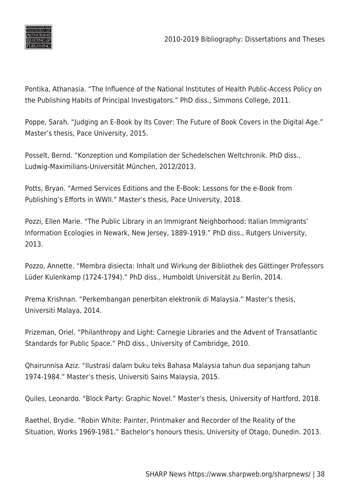

Pontika, Athanasia. "The Influence of the National Institutes of Health Public-Access Policy on the Publishing Habits of Principal Investigators." PhD diss., Simmons College, 2011.

Poppe, Sarah. "Judging an E-Book by Its Cover: The Future of Book Covers in the Digital Age." Master's thesis, Pace University, 2015.

Posselt, Bernd. "Konzeption und Kompilation der Schedelschen Weltchronik. PhD diss., Ludwig-Maximilians-Universität München, 2012/2013.

Potts, Bryan. "Armed Services Editions and the E-Book: Lessons for the e-Book from Publishing's Efforts in WWII." Master's thesis, Pace University, 2018.

Pozzi, Ellen Marie. "The Public Library in an Immigrant Neighborhood: Italian Immigrants' Information Ecologies in Newark, New Jersey, 1889-1919." PhD diss., Rutgers University, 2013.

Pozzo, Annette. "Membra disiecta: Inhalt und Wirkung der Bibliothek des Göttinger Professors Lüder Kulenkamp (1724-1794)." PhD diss., Humboldt Universität zu Berlin, 2014.

Prema Krishnan. "Perkembangan penerbitan elektronik di Malaysia." Master's thesis, Universiti Malaya, 2014.

Prizeman, Oriel. "Philanthropy and Light: Carnegie Libraries and the Advent of Transatlantic Standards for Public Space." PhD diss., University of Cambridge, 2010.

Qhairunnisa Aziz. "Ilustrasi dalam buku teks Bahasa Malaysia tahun dua sepanjang tahun 1974-1984." Master's thesis, Universiti Sains Malaysia, 2015.

Quiles, Leonardo. "Block Party: Graphic Novel." Master's thesis, University of Hartford, 2018.

Raethel, Brydie. "Robin White: Painter, Printmaker and Recorder of the Reality of the Situation, Works 1969-1981." Bachelor's honours thesis, University of Otago, Dunedin. 2013.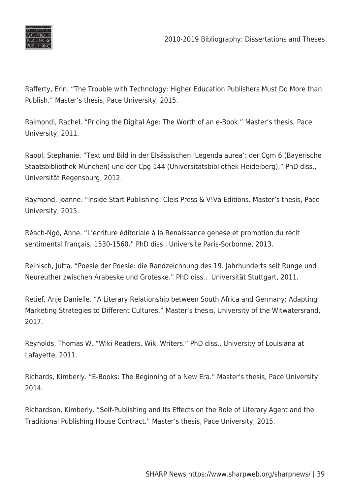

Rafferty, Erin. "The Trouble with Technology: Higher Education Publishers Must Do More than Publish." Master's thesis, Pace University, 2015.

Raimondi, Rachel. "Pricing the Digital Age: The Worth of an e-Book." Master's thesis, Pace University, 2011.

Rappl, Stephanie. "Text und Bild in der Elsässischen 'Legenda aurea': der Cgm 6 (Bayerische Staatsbibliothek München) und der Cpg 144 (Universitätsbibliothek Heidelberg)." PhD diss., Universität Regensburg, 2012.

Raymond, Joanne. "Inside Start Publishing: Cleis Press & V!Va Editions. Master's thesis, Pace University, 2015.

Réach-Ngô, Anne. "L'écriture éditoriale à la Renaissance genèse et promotion du récit sentimental français, 1530-1560." PhD diss., Universite Paris-Sorbonne, 2013.

Reinisch, Jutta. "Poesie der Poesie: die Randzeichnung des 19. Jahrhunderts seit Runge und Neureuther zwischen Arabeske und Groteske." PhD diss., Universität Stuttgart, 2011.

Retief, Anje Danielle. "A Literary Relationship between South Africa and Germany: Adapting Marketing Strategies to Different Cultures." Master's thesis, University of the Witwatersrand, 2017.

Reynolds, Thomas W. "Wiki Readers, Wiki Writers." PhD diss., University of Louisiana at Lafayette, 2011.

Richards, Kimberly. "E-Books: The Beginning of a New Era." Master's thesis, Pace University 2014.

Richardson, Kimberly. "Self-Publishing and Its Effects on the Role of Literary Agent and the Traditional Publishing House Contract." Master's thesis, Pace University, 2015.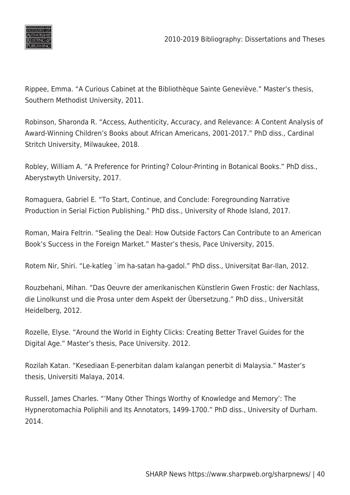

Rippee, Emma. "A Curious Cabinet at the Bibliothèque Sainte Geneviève." Master's thesis, Southern Methodist University, 2011.

Robinson, Sharonda R. "Access, Authenticity, Accuracy, and Relevance: A Content Analysis of Award-Winning Children's Books about African Americans, 2001-2017." PhD diss., Cardinal Stritch University, Milwaukee, 2018.

Robley, William A. "A Preference for Printing? Colour-Printing in Botanical Books." PhD diss., Aberystwyth University, 2017.

Romaguera, Gabriel E. "To Start, Continue, and Conclude: Foregrounding Narrative Production in Serial Fiction Publishing." PhD diss., University of Rhode Island, 2017.

Roman, Maira Feltrin. "Sealing the Deal: How Outside Factors Can Contribute to an American Book's Success in the Foreign Market." Master's thesis, Pace University, 2015.

Rotem Nir, Shiri. "Le-katleg `im ha-satan ha-gadol." PhD diss., Universiṭat Bar-Ilan, 2012.

Rouzbehani, Mihan. "Das Oeuvre der amerikanischen Künstlerin Gwen Frostic: der Nachlass, die Linolkunst und die Prosa unter dem Aspekt der Übersetzung." PhD diss., Universität Heidelberg, 2012.

Rozelle, Elyse. "Around the World in Eighty Clicks: Creating Better Travel Guides for the Digital Age." Master's thesis, Pace University. 2012.

Rozilah Katan. "Kesediaan E-penerbitan dalam kalangan penerbit di Malaysia." Master's thesis, Universiti Malaya, 2014.

Russell, James Charles. "'Many Other Things Worthy of Knowledge and Memory': The Hypnerotomachia Poliphili and Its Annotators, 1499-1700." PhD diss., University of Durham. 2014.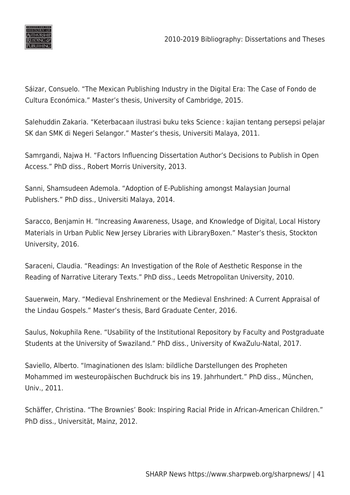

Sáizar, Consuelo. "The Mexican Publishing Industry in the Digital Era: The Case of Fondo de Cultura Económica." Master's thesis, University of Cambridge, 2015.

Salehuddin Zakaria. "Keterbacaan ilustrasi buku teks Science : kajian tentang persepsi pelajar SK dan SMK di Negeri Selangor." Master's thesis, Universiti Malaya, 2011.

Samrgandi, Najwa H. "Factors Influencing Dissertation Author's Decisions to Publish in Open Access." PhD diss., Robert Morris University, 2013.

Sanni, Shamsudeen Ademola. "Adoption of E-Publishing amongst Malaysian Journal Publishers." PhD diss., Universiti Malaya, 2014.

Saracco, Benjamin H. "Increasing Awareness, Usage, and Knowledge of Digital, Local History Materials in Urban Public New Jersey Libraries with LibraryBoxen." Master's thesis, Stockton University, 2016.

Saraceni, Claudia. "Readings: An Investigation of the Role of Aesthetic Response in the Reading of Narrative Literary Texts." PhD diss., Leeds Metropolitan University, 2010.

Sauerwein, Mary. "Medieval Enshrinement or the Medieval Enshrined: A Current Appraisal of the Lindau Gospels." Master's thesis, Bard Graduate Center, 2016.

Saulus, Nokuphila Rene. "Usability of the Institutional Repository by Faculty and Postgraduate Students at the University of Swaziland." PhD diss., University of KwaZulu-Natal, 2017.

Saviello, Alberto. "Imaginationen des Islam: bildliche Darstellungen des Propheten Mohammed im westeuropäischen Buchdruck bis ins 19. Jahrhundert." PhD diss., München, Univ., 2011.

Schäffer, Christina. "The Brownies' Book: Inspiring Racial Pride in African-American Children." PhD diss., Universität, Mainz, 2012.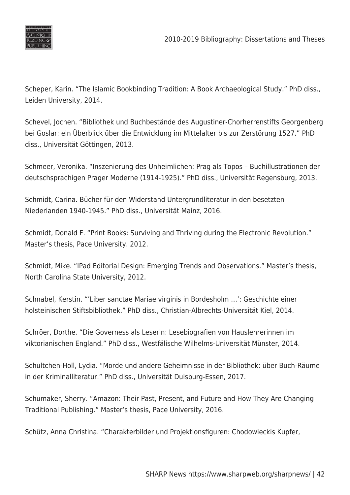

Scheper, Karin. "The Islamic Bookbinding Tradition: A Book Archaeological Study." PhD diss., Leiden University, 2014.

Schevel, Jochen. "Bibliothek und Buchbestände des Augustiner-Chorherrenstifts Georgenberg bei Goslar: ein Überblick über die Entwicklung im Mittelalter bis zur Zerstörung 1527." PhD diss., Universität Göttingen, 2013.

Schmeer, Veronika. "Inszenierung des Unheimlichen: Prag als Topos – Buchillustrationen der deutschsprachigen Prager Moderne (1914-1925)." PhD diss., Universität Regensburg, 2013.

Schmidt, Carina. Bücher für den Widerstand Untergrundliteratur in den besetzten Niederlanden 1940-1945." PhD diss., Universität Mainz, 2016.

Schmidt, Donald F. "Print Books: Surviving and Thriving during the Electronic Revolution." Master's thesis, Pace University. 2012.

Schmidt, Mike. "IPad Editorial Design: Emerging Trends and Observations." Master's thesis, North Carolina State University, 2012.

Schnabel, Kerstin. "'Liber sanctae Mariae virginis in Bordesholm …': Geschichte einer holsteinischen Stiftsbibliothek." PhD diss., Christian-Albrechts-Universität Kiel, 2014.

Schröer, Dorthe. "Die Governess als Leserin: Lesebiografien von Hauslehrerinnen im viktorianischen England." PhD diss., Westfälische Wilhelms-Universität Münster, 2014.

Schultchen-Holl, Lydia. "Morde und andere Geheimnisse in der Bibliothek: über Buch-Räume in der Kriminalliteratur." PhD diss., Universität Duisburg-Essen, 2017.

Schumaker, Sherry. "Amazon: Their Past, Present, and Future and How They Are Changing Traditional Publishing." Master's thesis, Pace University, 2016.

Schütz, Anna Christina. "Charakterbilder und Projektionsfiguren: Chodowieckis Kupfer,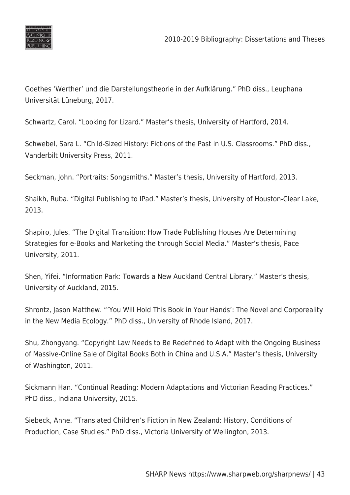

Goethes 'Werther' und die Darstellungstheorie in der Aufklärung." PhD diss., Leuphana Universität Lüneburg, 2017.

Schwartz, Carol. "Looking for Lizard." Master's thesis, University of Hartford, 2014.

Schwebel, Sara L. "Child-Sized History: Fictions of the Past in U.S. Classrooms." PhD diss., Vanderbilt University Press, 2011.

Seckman, John. "Portraits: Songsmiths." Master's thesis, University of Hartford, 2013.

Shaikh, Ruba. "Digital Publishing to IPad." Master's thesis, University of Houston-Clear Lake, 2013.

Shapiro, Jules. "The Digital Transition: How Trade Publishing Houses Are Determining Strategies for e-Books and Marketing the through Social Media." Master's thesis, Pace University, 2011.

Shen, Yifei. "Information Park: Towards a New Auckland Central Library." Master's thesis, University of Auckland, 2015.

Shrontz, Jason Matthew. "'You Will Hold This Book in Your Hands': The Novel and Corporeality in the New Media Ecology." PhD diss., University of Rhode Island, 2017.

Shu, Zhongyang. "Copyright Law Needs to Be Redefined to Adapt with the Ongoing Business of Massive-Online Sale of Digital Books Both in China and U.S.A." Master's thesis, University of Washington, 2011.

Sickmann Han. "Continual Reading: Modern Adaptations and Victorian Reading Practices." PhD diss., Indiana University, 2015.

Siebeck, Anne. "Translated Children's Fiction in New Zealand: History, Conditions of Production, Case Studies." PhD diss., Victoria University of Wellington, 2013.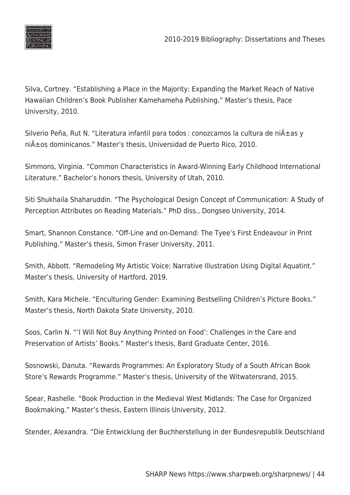

Silva, Cortney. "Establishing a Place in the Majority: Expanding the Market Reach of Native Hawaiian Children's Book Publisher Kamehameha Publishing." Master's thesis, Pace University, 2010.

Silverio Peña, Rut N. "Literatura infantil para todos : conozcamos la cultura de ni $\tilde{A}$ ±as y niños dominicanos." Master's thesis, Universidad de Puerto Rico, 2010.

Simmons, Virginia. "Common Characteristics in Award-Winning Early Childhood International Literature." Bachelor's honors thesis, University of Utah, 2010.

Siti Shukhaila Shaharuddin. "The Psychological Design Concept of Communication: A Study of Perception Attributes on Reading Materials." PhD diss., Dongseo University, 2014.

Smart, Shannon Constance. "Off-Line and on-Demand: The Tyee's First Endeavour in Print Publishing." Master's thesis, Simon Fraser University, 2011.

Smith, Abbott. "Remodeling My Artistic Voice: Narrative Illustration Using Digital Aquatint." Master's thesis, University of Hartford, 2019.

Smith, Kara Michele. "Enculturing Gender: Examining Bestselling Children's Picture Books." Master's thesis, North Dakota State University, 2010.

Soos, Carlin N. "'I Will Not Buy Anything Printed on Food': Challenges in the Care and Preservation of Artists' Books." Master's thesis, Bard Graduate Center, 2016.

Sosnowski, Danuta. "Rewards Programmes: An Exploratory Study of a South African Book Store's Rewards Programme." Master's thesis, University of the Witwatersrand, 2015.

Spear, Rashelle. "Book Production in the Medieval West Midlands: The Case for Organized Bookmaking." Master's thesis, Eastern Illinois University, 2012.

Stender, Alexandra. "Die Entwicklung der Buchherstellung in der Bundesrepublik Deutschland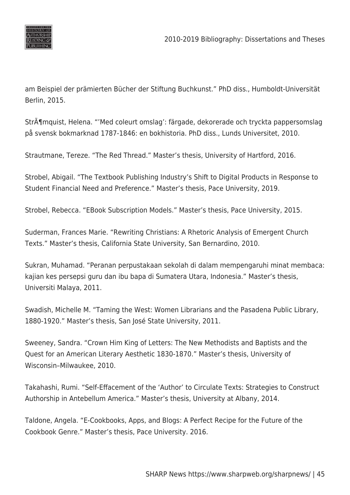

am Beispiel der prämierten Bücher der Stiftung Buchkunst." PhD diss., Humboldt-Universität Berlin, 2015.

Str $\tilde{A}$ ¶mquist, Helena. "'Med coleurt omslag': färgade, dekorerade och tryckta pappersomslag på svensk bokmarknad 1787-1846: en bokhistoria. PhD diss., Lunds Universitet, 2010.

Strautmane, Tereze. "The Red Thread." Master's thesis, University of Hartford, 2016.

Strobel, Abigail. "The Textbook Publishing Industry's Shift to Digital Products in Response to Student Financial Need and Preference." Master's thesis, Pace University, 2019.

Strobel, Rebecca. "EBook Subscription Models." Master's thesis, Pace University, 2015.

Suderman, Frances Marie. "Rewriting Christians: A Rhetoric Analysis of Emergent Church Texts." Master's thesis, California State University, San Bernardino, 2010.

Sukran, Muhamad. "Peranan perpustakaan sekolah di dalam mempengaruhi minat membaca: kajian kes persepsi guru dan ibu bapa di Sumatera Utara, Indonesia." Master's thesis, Universiti Malaya, 2011.

Swadish, Michelle M. "Taming the West: Women Librarians and the Pasadena Public Library, 1880-1920." Master's thesis, San José State University, 2011.

Sweeney, Sandra. "Crown Him King of Letters: The New Methodists and Baptists and the Quest for an American Literary Aesthetic 1830-1870." Master's thesis, University of Wisconsin–Milwaukee, 2010.

Takahashi, Rumi. "Self-Effacement of the 'Author' to Circulate Texts: Strategies to Construct Authorship in Antebellum America." Master's thesis, University at Albany, 2014.

Taldone, Angela. "E-Cookbooks, Apps, and Blogs: A Perfect Recipe for the Future of the Cookbook Genre." Master's thesis, Pace University. 2016.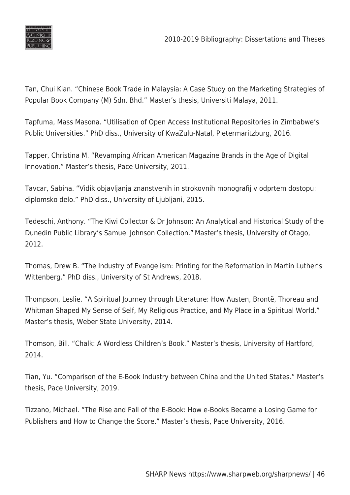

Tan, Chui Kian. "Chinese Book Trade in Malaysia: A Case Study on the Marketing Strategies of Popular Book Company (M) Sdn. Bhd." Master's thesis, Universiti Malaya, 2011.

Tapfuma, Mass Masona. "Utilisation of Open Access Institutional Repositories in Zimbabwe's Public Universities." PhD diss., University of KwaZulu-Natal, Pietermaritzburg, 2016.

Tapper, Christina M. "Revamping African American Magazine Brands in the Age of Digital Innovation." Master's thesis, Pace University, 2011.

Tavcar, Sabina. "Vidik objavljanja znanstvenih in strokovnih monografij v odprtem dostopu: diplomsko delo." PhD diss., University of Ljubljani, 2015.

Tedeschi, Anthony. "The Kiwi Collector & Dr Johnson: An Analytical and Historical Study of the Dunedin Public Library's Samuel Johnson Collection." Master's thesis, University of Otago, 2012.

Thomas, Drew B. "The Industry of Evangelism: Printing for the Reformation in Martin Luther's Wittenberg." PhD diss., University of St Andrews, 2018.

Thompson, Leslie. "A Spiritual Journey through Literature: How Austen, Brontë, Thoreau and Whitman Shaped My Sense of Self, My Religious Practice, and My Place in a Spiritual World." Master's thesis, Weber State University, 2014.

Thomson, Bill. "Chalk: A Wordless Children's Book." Master's thesis, University of Hartford, 2014.

Tian, Yu. "Comparison of the E-Book Industry between China and the United States." Master's thesis, Pace University, 2019.

Tizzano, Michael. "The Rise and Fall of the E-Book: How e-Books Became a Losing Game for Publishers and How to Change the Score." Master's thesis, Pace University, 2016.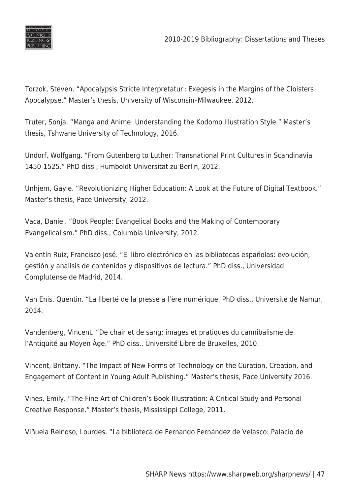

Torzok, Steven. "Apocalypsis Stricte Interpretatur : Exegesis in the Margins of the Cloisters Apocalypse." Master's thesis, University of Wisconsin–Milwaukee, 2012.

Truter, Sonja. "Manga and Anime: Understanding the Kodomo Illustration Style." Master's thesis, Tshwane University of Technology, 2016.

Undorf, Wolfgang. "From Gutenberg to Luther: Transnational Print Cultures in Scandinavia 1450-1525." PhD diss., Humboldt-Universität zu Berlin, 2012.

Unhjem, Gayle. "Revolutionizing Higher Education: A Look at the Future of Digital Textbook." Master's thesis, Pace University, 2012.

Vaca, Daniel. "Book People: Evangelical Books and the Making of Contemporary Evangelicalism." PhD diss., Columbia University, 2012.

Valentín Ruiz, Francisco José. "El libro electrónico en las bibliotecas españolas: evolución, gestión y análisis de contenidos y dispositivos de lectura." PhD diss., Universidad Complutense de Madrid, 2014.

Van Enis, Quentin. "La liberté de la presse à l'ère numérique. PhD diss., Université de Namur, 2014.

Vandenberg, Vincent. "De chair et de sang: images et pratiques du cannibalisme de l'Antiquité au Moyen Âge." PhD diss., Université Libre de Bruxelles, 2010.

Vincent, Brittany. "The Impact of New Forms of Technology on the Curation, Creation, and Engagement of Content in Young Adult Publishing." Master's thesis, Pace University 2016.

Vines, Emily. "The Fine Art of Children's Book Illustration: A Critical Study and Personal Creative Response." Master's thesis, Mississippi College, 2011.

Viñuela Reinoso, Lourdes. "La biblioteca de Fernando Fernández de Velasco: Palacio de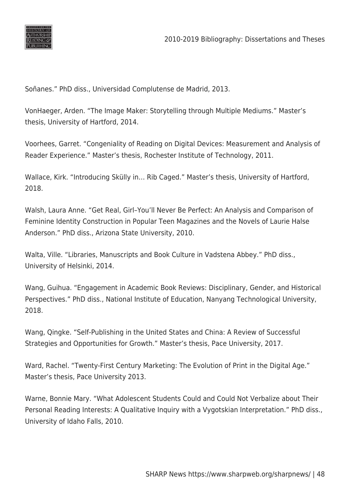

Soñanes." PhD diss., Universidad Complutense de Madrid, 2013.

VonHaeger, Arden. "The Image Maker: Storytelling through Multiple Mediums." Master's thesis, University of Hartford, 2014.

Voorhees, Garret. "Congeniality of Reading on Digital Devices: Measurement and Analysis of Reader Experience." Master's thesis, Rochester Institute of Technology, 2011.

Wallace, Kirk. "Introducing Skülly in… Rib Caged." Master's thesis, University of Hartford, 2018.

Walsh, Laura Anne. "Get Real, Girl–You'll Never Be Perfect: An Analysis and Comparison of Feminine Identity Construction in Popular Teen Magazines and the Novels of Laurie Halse Anderson." PhD diss., Arizona State University, 2010.

Walta, Ville. "Libraries, Manuscripts and Book Culture in Vadstena Abbey." PhD diss., University of Helsinki, 2014.

Wang, Guihua. "Engagement in Academic Book Reviews: Disciplinary, Gender, and Historical Perspectives." PhD diss., National Institute of Education, Nanyang Technological University, 2018.

Wang, Qingke. "Self-Publishing in the United States and China: A Review of Successful Strategies and Opportunities for Growth." Master's thesis, Pace University, 2017.

Ward, Rachel. "Twenty-First Century Marketing: The Evolution of Print in the Digital Age." Master's thesis, Pace University 2013.

Warne, Bonnie Mary. "What Adolescent Students Could and Could Not Verbalize about Their Personal Reading Interests: A Qualitative Inquiry with a Vygotskian Interpretation." PhD diss., University of Idaho Falls, 2010.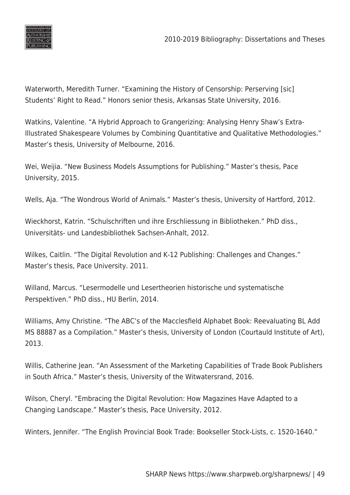

Waterworth, Meredith Turner. "Examining the History of Censorship: Perserving [sic] Students' Right to Read." Honors senior thesis, Arkansas State University, 2016.

Watkins, Valentine. "A Hybrid Approach to Grangerizing: Analysing Henry Shaw's Extra-Illustrated Shakespeare Volumes by Combining Quantitative and Qualitative Methodologies." Master's thesis, University of Melbourne, 2016.

Wei, Weijia. "New Business Models Assumptions for Publishing." Master's thesis, Pace University, 2015.

Wells, Aja. "The Wondrous World of Animals." Master's thesis, University of Hartford, 2012.

Wieckhorst, Katrin. "Schulschriften und ihre Erschliessung in Bibliotheken." PhD diss., Universitäts- und Landesbibliothek Sachsen-Anhalt, 2012.

Wilkes, Caitlin. "The Digital Revolution and K-12 Publishing: Challenges and Changes." Master's thesis, Pace University. 2011.

Willand, Marcus. "Lesermodelle und Lesertheorien historische und systematische Perspektiven." PhD diss., HU Berlin, 2014.

Williams, Amy Christine. "The ABC's of the Macclesfield Alphabet Book: Reevaluating BL Add MS 88887 as a Compilation." Master's thesis, University of London (Courtauld Institute of Art), 2013.

Willis, Catherine Jean. "An Assessment of the Marketing Capabilities of Trade Book Publishers in South Africa." Master's thesis, University of the Witwatersrand, 2016.

Wilson, Cheryl. "Embracing the Digital Revolution: How Magazines Have Adapted to a Changing Landscape." Master's thesis, Pace University, 2012.

Winters, Jennifer. "The English Provincial Book Trade: Bookseller Stock-Lists, c. 1520-1640."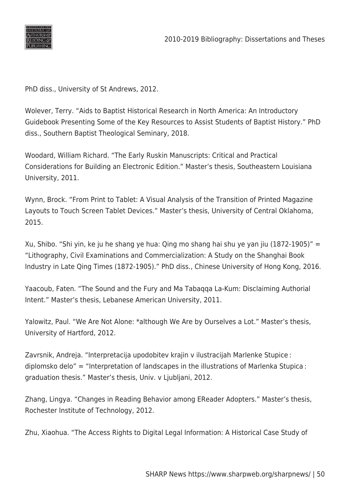

PhD diss., University of St Andrews, 2012.

Wolever, Terry. "Aids to Baptist Historical Research in North America: An Introductory Guidebook Presenting Some of the Key Resources to Assist Students of Baptist History." PhD diss., Southern Baptist Theological Seminary, 2018.

Woodard, William Richard. "The Early Ruskin Manuscripts: Critical and Practical Considerations for Building an Electronic Edition." Master's thesis, Southeastern Louisiana University, 2011.

Wynn, Brock. "From Print to Tablet: A Visual Analysis of the Transition of Printed Magazine Layouts to Touch Screen Tablet Devices." Master's thesis, University of Central Oklahoma, 2015.

Xu, Shibo. "Shi yin, ke ju he shang ye hua: Qing mo shang hai shu ye yan jiu (1872-1905)" = "Lithography, Civil Examinations and Commercialization: A Study on the Shanghai Book Industry in Late Qing Times (1872-1905)." PhD diss., Chinese University of Hong Kong, 2016.

Yaacoub, Faten. "The Sound and the Fury and Ma Tabaqqa La-Kum: Disclaiming Authorial Intent." Master's thesis, Lebanese American University, 2011.

Yalowitz, Paul. "We Are Not Alone: \*although We Are by Ourselves a Lot." Master's thesis, University of Hartford, 2012.

Zavrsnik, Andreja. "Interpretacija upodobitev krajin v ilustracijah Marlenke Stupice : diplomsko delo" = "Interpretation of landscapes in the illustrations of Marlenka Stupica : graduation thesis." Master's thesis, Univ. v Ljubljani, 2012.

Zhang, Lingya. "Changes in Reading Behavior among EReader Adopters." Master's thesis, Rochester Institute of Technology, 2012.

Zhu, Xiaohua. "The Access Rights to Digital Legal Information: A Historical Case Study of